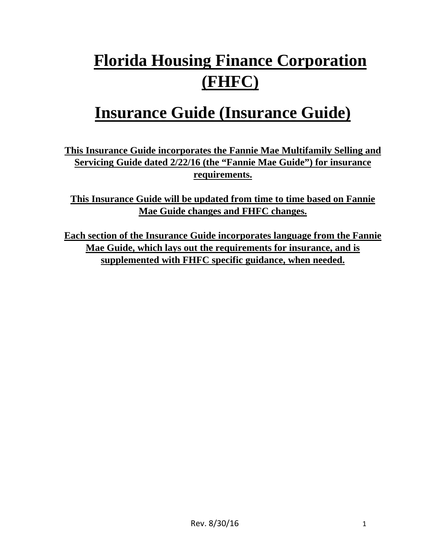# **Florida Housing Finance Corporation (FHFC)**

## **Insurance Guide (Insurance Guide)**

**This Insurance Guide incorporates the Fannie Mae Multifamily Selling and Servicing Guide dated 2/22/16 (the "Fannie Mae Guide") for insurance requirements.** 

**This Insurance Guide will be updated from time to time based on Fannie Mae Guide changes and FHFC changes.** 

**Each section of the Insurance Guide incorporates language from the Fannie Mae Guide, which lays out the requirements for insurance, and is supplemented with FHFC specific guidance, when needed.**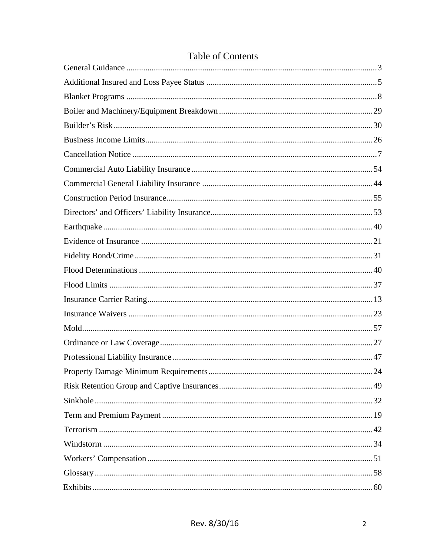### **Table of Contents**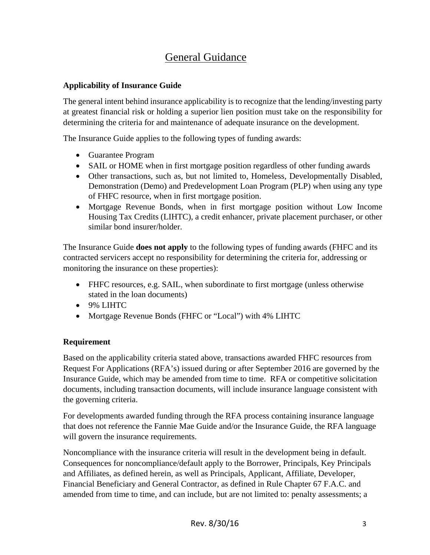### General Guidance

#### **Applicability of Insurance Guide**

The general intent behind insurance applicability is to recognize that the lending/investing party at greatest financial risk or holding a superior lien position must take on the responsibility for determining the criteria for and maintenance of adequate insurance on the development.

The Insurance Guide applies to the following types of funding awards:

- Guarantee Program
- SAIL or HOME when in first mortgage position regardless of other funding awards
- Other transactions, such as, but not limited to, Homeless, Developmentally Disabled, Demonstration (Demo) and Predevelopment Loan Program (PLP) when using any type of FHFC resource, when in first mortgage position.
- Mortgage Revenue Bonds, when in first mortgage position without Low Income Housing Tax Credits (LIHTC), a credit enhancer, private placement purchaser, or other similar bond insurer/holder.

The Insurance Guide **does not apply** to the following types of funding awards (FHFC and its contracted servicers accept no responsibility for determining the criteria for, addressing or monitoring the insurance on these properties):

- FHFC resources, e.g. SAIL, when subordinate to first mortgage (unless otherwise stated in the loan documents)
- 9% LIHTC
- Mortgage Revenue Bonds (FHFC or "Local") with 4% LIHTC

#### **Requirement**

Based on the applicability criteria stated above, transactions awarded FHFC resources from Request For Applications (RFA's) issued during or after September 2016 are governed by the Insurance Guide, which may be amended from time to time. RFA or competitive solicitation documents, including transaction documents, will include insurance language consistent with the governing criteria.

For developments awarded funding through the RFA process containing insurance language that does not reference the Fannie Mae Guide and/or the Insurance Guide, the RFA language will govern the insurance requirements.

Noncompliance with the insurance criteria will result in the development being in default. Consequences for noncompliance/default apply to the Borrower, Principals, Key Principals and Affiliates, as defined herein, as well as Principals, Applicant, Affiliate, Developer, Financial Beneficiary and General Contractor, as defined in Rule Chapter 67 F.A.C. and amended from time to time, and can include, but are not limited to: penalty assessments; a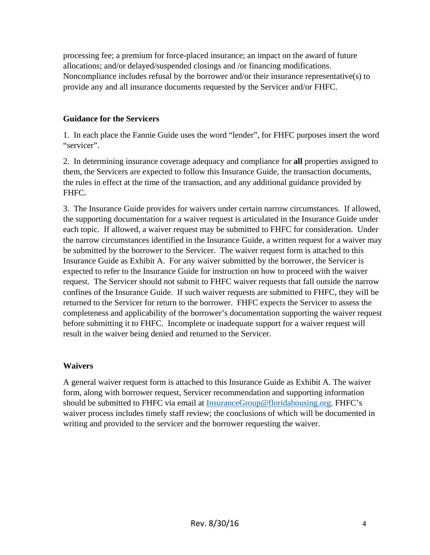processing fee; a premium for force-placed insurance; an impact on the award of future allocations; and/or delayed/suspended closings and /or financing modifications. Noncompliance includes refusal by the borrower and/or their insurance representative(s) to provide any and all insurance documents requested by the Servicer and/or FHFC.

#### **Guidance for the Servicers**

1. In each place the Fannie Guide uses the word "lender", for FHFC purposes insert the word "servicer".

2. In determining insurance coverage adequacy and compliance for **all** properties assigned to them, the Servicers are expected to follow this Insurance Guide, the transaction documents, the rules in effect at the time of the transaction, and any additional guidance provided by FHFC.

3. The Insurance Guide provides for waivers under certain narrow circumstances. If allowed, the supporting documentation for a waiver request is articulated in the Insurance Guide under each topic. If allowed, a waiver request may be submitted to FHFC for consideration. Under the narrow circumstances identified in the Insurance Guide, a written request for a waiver may be submitted by the borrower to the Servicer. The waiver request form is attached to this Insurance Guide as Exhibit A. For any waiver submitted by the borrower, the Servicer is expected to refer to the Insurance Guide for instruction on how to proceed with the waiver request. The Servicer should not submit to FHFC waiver requests that fall outside the narrow confines of the Insurance Guide. If such waiver requests are submitted to FHFC, they will be returned to the Servicer for return to the borrower. FHFC expects the Servicer to assess the completeness and applicability of the borrower's documentation supporting the waiver request before submitting it to FHFC. Incomplete or inadequate support for a waiver request will result in the waiver being denied and returned to the Servicer.

#### **Waivers**

A general waiver request form is attached to this Insurance Guide as Exhibit A. The waiver form, along with borrower request, Servicer recommendation and supporting information should be submitted to FHFC via email at InsuranceGroup@floridahousing.org. FHFC's waiver process includes timely staff review; the conclusions of which will be documented in writing and provided to the servicer and the borrower requesting the waiver.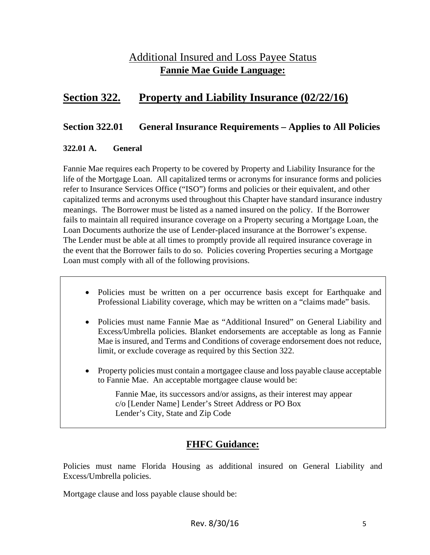### Additional Insured and Loss Payee Status **Fannie Mae Guide Language:**

### **Section 322. Property and Liability Insurance (02/22/16)**

#### **Section 322.01 General Insurance Requirements – Applies to All Policies**

#### **322.01 A. General**

Fannie Mae requires each Property to be covered by Property and Liability Insurance for the life of the Mortgage Loan. All capitalized terms or acronyms for insurance forms and policies refer to Insurance Services Office ("ISO") forms and policies or their equivalent, and other capitalized terms and acronyms used throughout this Chapter have standard insurance industry meanings. The Borrower must be listed as a named insured on the policy. If the Borrower fails to maintain all required insurance coverage on a Property securing a Mortgage Loan, the Loan Documents authorize the use of Lender-placed insurance at the Borrower's expense. The Lender must be able at all times to promptly provide all required insurance coverage in the event that the Borrower fails to do so. Policies covering Properties securing a Mortgage Loan must comply with all of the following provisions.

- Policies must be written on a per occurrence basis except for Earthquake and Professional Liability coverage, which may be written on a "claims made" basis.
- Policies must name Fannie Mae as "Additional Insured" on General Liability and Excess/Umbrella policies. Blanket endorsements are acceptable as long as Fannie Mae is insured, and Terms and Conditions of coverage endorsement does not reduce, limit, or exclude coverage as required by this Section 322.
- Property policies must contain a mortgagee clause and loss payable clause acceptable to Fannie Mae. An acceptable mortgagee clause would be:

Fannie Mae, its successors and/or assigns, as their interest may appear c/o [Lender Name] Lender's Street Address or PO Box Lender's City, State and Zip Code

### **FHFC Guidance:**

Policies must name Florida Housing as additional insured on General Liability and Excess/Umbrella policies.

Mortgage clause and loss payable clause should be: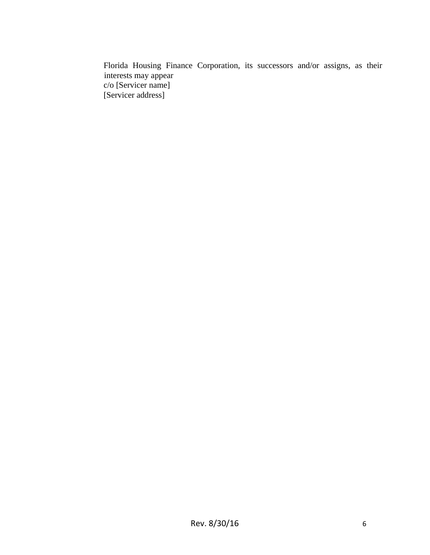Florida Housing Finance Corporation, its successors and/or assigns, as their interests may appear c/o [Servicer name] [Servicer address]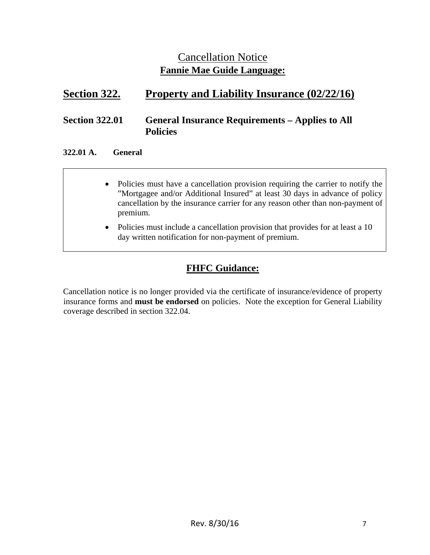### Cancellation Notice **Fannie Mae Guide Language:**

### **Section 322. Property and Liability Insurance (02/22/16)**

#### **Section 322.01 General Insurance Requirements – Applies to All Policies**

#### **322.01 A. General**

- Policies must have a cancellation provision requiring the carrier to notify the "Mortgagee and/or Additional Insured" at least 30 days in advance of policy cancellation by the insurance carrier for any reason other than non-payment of premium.
	- Policies must include a cancellation provision that provides for at least a 10 day written notification for non-payment of premium.

### **FHFC Guidance:**

Cancellation notice is no longer provided via the certificate of insurance/evidence of property insurance forms and **must be endorsed** on policies. Note the exception for General Liability coverage described in section 322.04.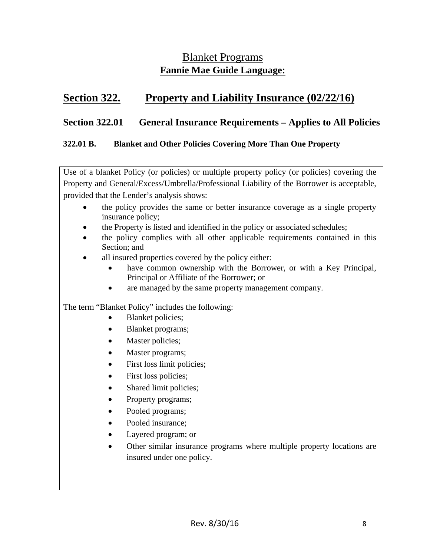### Blanket Programs **Fannie Mae Guide Language:**

### **Section 322. Property and Liability Insurance (02/22/16)**

#### **Section 322.01 General Insurance Requirements – Applies to All Policies**

#### **322.01 B. Blanket and Other Policies Covering More Than One Property**

Use of a blanket Policy (or policies) or multiple property policy (or policies) covering the Property and General/Excess/Umbrella/Professional Liability of the Borrower is acceptable, provided that the Lender's analysis shows:

- the policy provides the same or better insurance coverage as a single property insurance policy;
- the Property is listed and identified in the policy or associated schedules;
- the policy complies with all other applicable requirements contained in this Section; and
- all insured properties covered by the policy either:
	- have common ownership with the Borrower, or with a Key Principal, Principal or Affiliate of the Borrower; or
	- are managed by the same property management company.

The term "Blanket Policy" includes the following:

- Blanket policies;
- Blanket programs;
- Master policies;
- Master programs;
- First loss limit policies;
- First loss policies;
- Shared limit policies;
- Property programs;
- Pooled programs;
- Pooled insurance;
- Layered program; or
- Other similar insurance programs where multiple property locations are insured under one policy.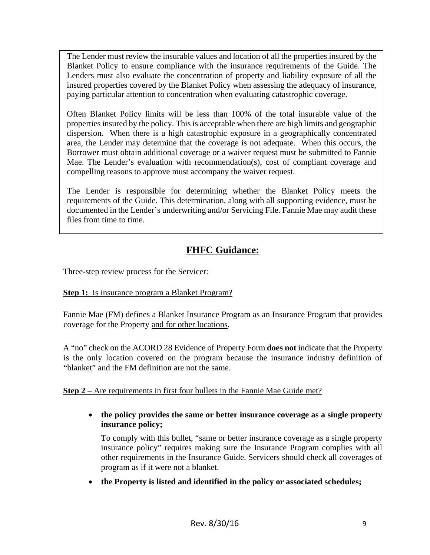The Lender must review the insurable values and location of all the properties insured by the Blanket Policy to ensure compliance with the insurance requirements of the Guide. The Lenders must also evaluate the concentration of property and liability exposure of all the insured properties covered by the Blanket Policy when assessing the adequacy of insurance, paying particular attention to concentration when evaluating catastrophic coverage.

Often Blanket Policy limits will be less than 100% of the total insurable value of the properties insured by the policy. This is acceptable when there are high limits and geographic dispersion. When there is a high catastrophic exposure in a geographically concentrated area, the Lender may determine that the coverage is not adequate. When this occurs, the Borrower must obtain additional coverage or a waiver request must be submitted to Fannie Mae. The Lender's evaluation with recommendation(s), cost of compliant coverage and compelling reasons to approve must accompany the waiver request.

The Lender is responsible for determining whether the Blanket Policy meets the requirements of the Guide. This determination, along with all supporting evidence, must be documented in the Lender's underwriting and/or Servicing File. Fannie Mae may audit these files from time to time.

### **FHFC Guidance:**

Three-step review process for the Servicer:

#### **Step 1:** Is insurance program a Blanket Program?

Fannie Mae (FM) defines a Blanket Insurance Program as an Insurance Program that provides coverage for the Property and for other locations.

A "no" check on the ACORD 28 Evidence of Property Form **does not** indicate that the Property is the only location covered on the program because the insurance industry definition of "blanket" and the FM definition are not the same.

**Step 2** – Are requirements in first four bullets in the Fannie Mae Guide met?

 **the policy provides the same or better insurance coverage as a single property insurance policy;** 

To comply with this bullet, "same or better insurance coverage as a single property insurance policy" requires making sure the Insurance Program complies with all other requirements in the Insurance Guide. Servicers should check all coverages of program as if it were not a blanket.

**the Property is listed and identified in the policy or associated schedules;**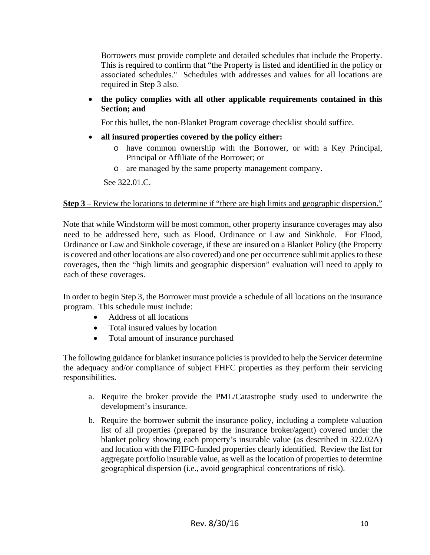Borrowers must provide complete and detailed schedules that include the Property. This is required to confirm that "the Property is listed and identified in the policy or associated schedules." Schedules with addresses and values for all locations are required in Step 3 also.

 **the policy complies with all other applicable requirements contained in this Section; and** 

For this bullet, the non-Blanket Program coverage checklist should suffice.

- **all insured properties covered by the policy either:** 
	- o have common ownership with the Borrower, or with a Key Principal, Principal or Affiliate of the Borrower; or
	- o are managed by the same property management company.

See 322.01.C.

#### **Step 3** – Review the locations to determine if "there are high limits and geographic dispersion."

Note that while Windstorm will be most common, other property insurance coverages may also need to be addressed here, such as Flood, Ordinance or Law and Sinkhole. For Flood, Ordinance or Law and Sinkhole coverage, if these are insured on a Blanket Policy (the Property is covered and other locations are also covered) and one per occurrence sublimit applies to these coverages, then the "high limits and geographic dispersion" evaluation will need to apply to each of these coverages.

In order to begin Step 3, the Borrower must provide a schedule of all locations on the insurance program. This schedule must include:

- Address of all locations
- Total insured values by location
- Total amount of insurance purchased

The following guidance for blanket insurance policies is provided to help the Servicer determine the adequacy and/or compliance of subject FHFC properties as they perform their servicing responsibilities.

- a. Require the broker provide the PML/Catastrophe study used to underwrite the development's insurance.
- b. Require the borrower submit the insurance policy, including a complete valuation list of all properties (prepared by the insurance broker/agent) covered under the blanket policy showing each property's insurable value (as described in 322.02A) and location with the FHFC-funded properties clearly identified. Review the list for aggregate portfolio insurable value, as well as the location of properties to determine geographical dispersion (i.e., avoid geographical concentrations of risk).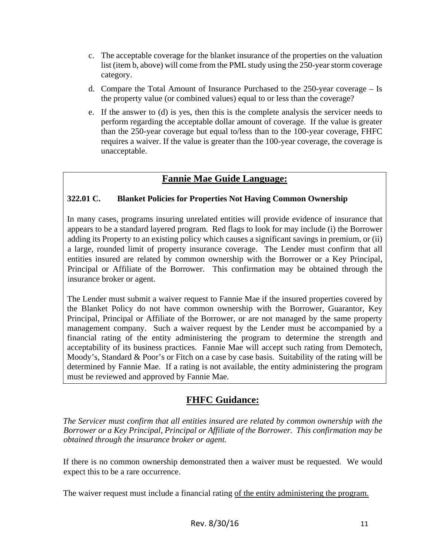- c. The acceptable coverage for the blanket insurance of the properties on the valuation list (item b, above) will come from the PML study using the 250-year storm coverage category.
- d. Compare the Total Amount of Insurance Purchased to the 250-year coverage Is the property value (or combined values) equal to or less than the coverage?
- e. If the answer to (d) is yes, then this is the complete analysis the servicer needs to perform regarding the acceptable dollar amount of coverage. If the value is greater than the 250-year coverage but equal to/less than to the 100-year coverage, FHFC requires a waiver. If the value is greater than the 100-year coverage, the coverage is unacceptable.

#### **Fannie Mae Guide Language:**

#### **322.01 C. Blanket Policies for Properties Not Having Common Ownership**

In many cases, programs insuring unrelated entities will provide evidence of insurance that appears to be a standard layered program. Red flags to look for may include (i) the Borrower adding its Property to an existing policy which causes a significant savings in premium, or (ii) a large, rounded limit of property insurance coverage. The Lender must confirm that all entities insured are related by common ownership with the Borrower or a Key Principal, Principal or Affiliate of the Borrower. This confirmation may be obtained through the insurance broker or agent.

The Lender must submit a waiver request to Fannie Mae if the insured properties covered by the Blanket Policy do not have common ownership with the Borrower, Guarantor, Key Principal, Principal or Affiliate of the Borrower, or are not managed by the same property management company. Such a waiver request by the Lender must be accompanied by a financial rating of the entity administering the program to determine the strength and acceptability of its business practices. Fannie Mae will accept such rating from Demotech, Moody's, Standard & Poor's or Fitch on a case by case basis. Suitability of the rating will be determined by Fannie Mae. If a rating is not available, the entity administering the program must be reviewed and approved by Fannie Mae.

### **FHFC Guidance:**

*The Servicer must confirm that all entities insured are related by common ownership with the Borrower or a Key Principal, Principal or Affiliate of the Borrower. This confirmation may be obtained through the insurance broker or agent.*

If there is no common ownership demonstrated then a waiver must be requested. We would expect this to be a rare occurrence.

The waiver request must include a financial rating of the entity administering the program.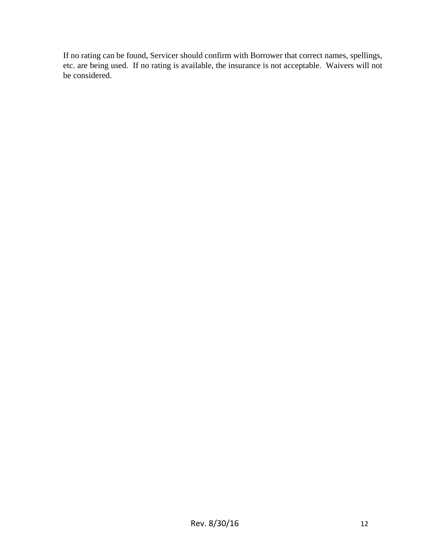If no rating can be found, Servicer should confirm with Borrower that correct names, spellings, etc. are being used. If no rating is available, the insurance is not acceptable. Waivers will not be considered.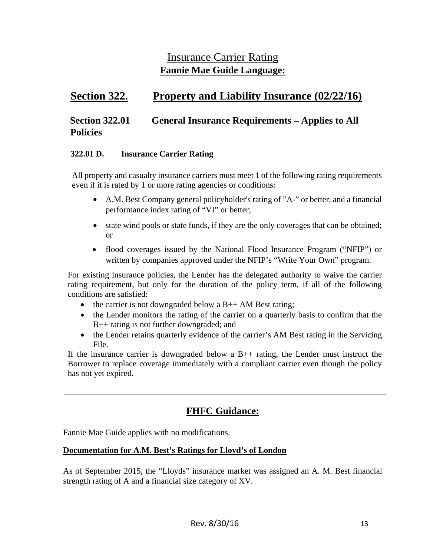### Insurance Carrier Rating **Fannie Mae Guide Language:**

### **Section 322. Property and Liability Insurance (02/22/16)**

### **Section 322.01 General Insurance Requirements – Applies to All Policies**

#### **322.01 D. Insurance Carrier Rating**

All property and casualty insurance carriers must meet 1 of the following rating requirements even if it is rated by 1 or more rating agencies or conditions:

- A.M. Best Company general policyholder's rating of "A-" or better, and a financial performance index rating of "VI" or better;
- state wind pools or state funds, if they are the only coverages that can be obtained; or
- flood coverages issued by the National Flood Insurance Program ("NFIP") or written by companies approved under the NFIP's "Write Your Own" program.

For existing insurance policies, the Lender has the delegated authority to waive the carrier rating requirement, but only for the duration of the policy term, if all of the following conditions are satisfied:

- the carrier is not downgraded below a  $B++AM$  Best rating;
- the Lender monitors the rating of the carrier on a quarterly basis to confirm that the B++ rating is not further downgraded; and
- the Lender retains quarterly evidence of the carrier's AM Best rating in the Servicing File.

If the insurance carrier is downgraded below a  $B++$  rating, the Lender must instruct the Borrower to replace coverage immediately with a compliant carrier even though the policy has not yet expired.

### **FHFC Guidance:**

Fannie Mae Guide applies with no modifications.

#### **Documentation for A.M. Best's Ratings for Lloyd's of London**

As of September 2015, the "Lloyds" insurance market was assigned an A. M. Best financial strength rating of A and a financial size category of XV.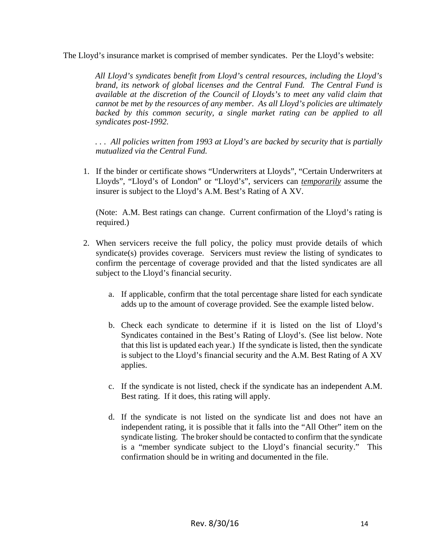The Lloyd's insurance market is comprised of member syndicates. Per the Lloyd's website:

*All Lloyd's syndicates benefit from Lloyd's central resources, including the Lloyd's brand, its network of global licenses and the Central Fund. The Central Fund is available at the discretion of the Council of Lloyds's to meet any valid claim that cannot be met by the resources of any member. As all Lloyd's policies are ultimately*  backed by this common security, a single market rating can be applied to all *syndicates post-1992.* 

*. . . All policies written from 1993 at Lloyd's are backed by security that is partially mutualized via the Central Fund.* 

1. If the binder or certificate shows "Underwriters at Lloyds", "Certain Underwriters at Lloyds", "Lloyd's of London" or "Lloyd's", servicers can *temporarily* assume the insurer is subject to the Lloyd's A.M. Best's Rating of A XV.

(Note: A.M. Best ratings can change. Current confirmation of the Lloyd's rating is required.)

- 2. When servicers receive the full policy, the policy must provide details of which syndicate(s) provides coverage. Servicers must review the listing of syndicates to confirm the percentage of coverage provided and that the listed syndicates are all subject to the Lloyd's financial security.
	- a. If applicable, confirm that the total percentage share listed for each syndicate adds up to the amount of coverage provided. See the example listed below.
	- b. Check each syndicate to determine if it is listed on the list of Lloyd's Syndicates contained in the Best's Rating of Lloyd's. (See list below. Note that this list is updated each year.) If the syndicate is listed, then the syndicate is subject to the Lloyd's financial security and the A.M. Best Rating of A XV applies.
	- c. If the syndicate is not listed, check if the syndicate has an independent A.M. Best rating. If it does, this rating will apply.
	- d. If the syndicate is not listed on the syndicate list and does not have an independent rating, it is possible that it falls into the "All Other" item on the syndicate listing. The broker should be contacted to confirm that the syndicate is a "member syndicate subject to the Lloyd's financial security." This confirmation should be in writing and documented in the file.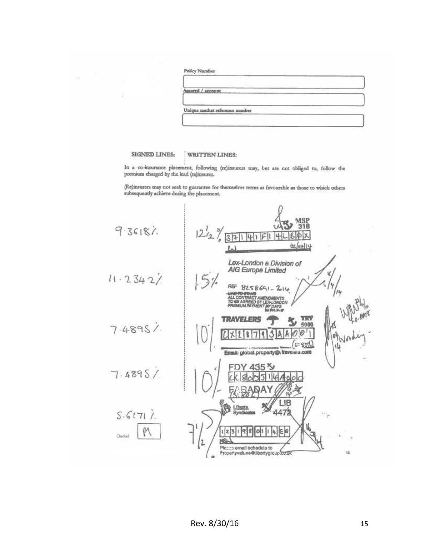|  | 'olicy Number |  |
|--|---------------|--|

×

| 5511 | red / account |  |
|------|---------------|--|

Unique matket reference number

**SIGNED LINES:** 

#### WRITTEN LINES:

In a co-insurance placement, following (re)insurers may, but are not obliged to, follow the premium charged by the lead (re)insurer.

(Re)insurers may not seek to guarantee for themselves terms as favourable as those to which others subsequently achieve during the placement.

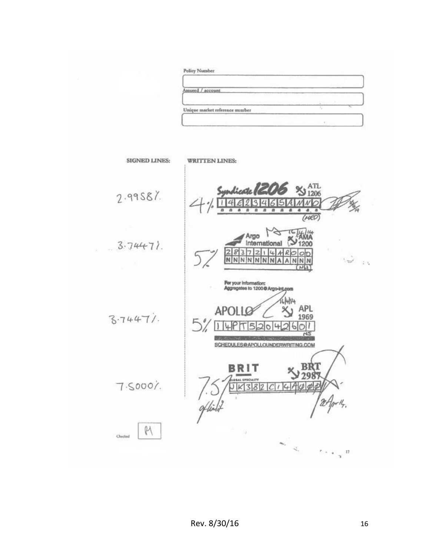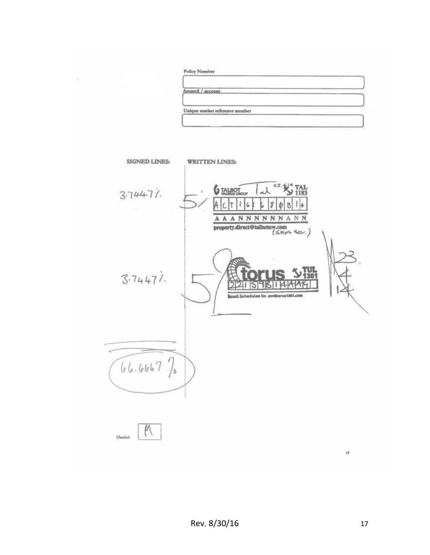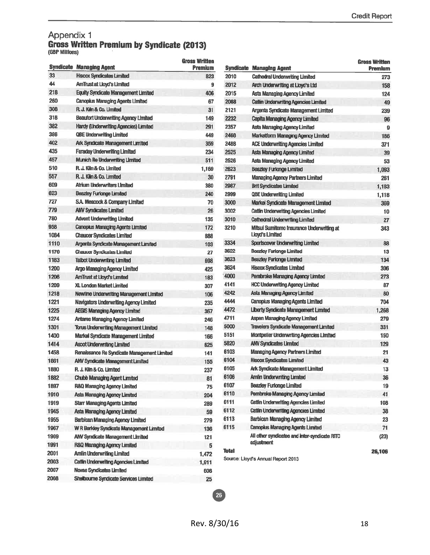# Appendix 1<br>Gross Written Premium by Syndicate (2013)<br>(GBP Millions)

|      | <b>Syndicate Managing Agent</b>              | <b>Gross Written</b><br>Premium |       | <b>Syndicate Managing Agent</b>                 | <b>Gross Written</b><br><b>Premium</b> |
|------|----------------------------------------------|---------------------------------|-------|-------------------------------------------------|----------------------------------------|
| 33   | <b>Hiscox Syndicates Limited</b>             | 823                             | 2010  | <b>Cathedral Underwriting Limited</b>           | 273                                    |
| 44   | AmTrust at Lloyd's Limited                   | 9                               | 2012  | Arch Underwriting at Lloyd's Ltd.               | 158                                    |
| 218  | <b>Equity Syndicate Management Limited</b>   | 406                             | 2015  | Asta Managing Agency Limited                    | 124                                    |
| 260  | <b>Canopius Managing Agents Limited</b>      | 67                              | 2088  | Cattin Underwriting Agencies Limited            | 49                                     |
| 308  | R. J. Kiin & Co. Limited                     | 31                              | 2121  | Argenta Syndicate Management Limited            | 239                                    |
| 318  | <b>Beaufort Underwriting Agency Limited</b>  | 149                             | 2232  | <b>Capita Managing Agency Limited</b>           | 96                                     |
| 382  | Hardy (Underwriting Agencies) Limited        | 291                             | 2357  | Asta Managing Agency Limited                    | 9                                      |
| 386  | QBE Underwriting Limited                     | 449                             | 2468  | <b>Marketform Managing Agency Limited</b>       | 186                                    |
| 402  | Ark Syndicate Management Limited             | 359                             | 2488  | <b>ACE Underwriting Agencies Limited</b>        | 371                                    |
| 435  | <b>Faraday Underwriting Limited</b>          | 234                             | 2525  | Asta Managing Agency Limited                    | 39                                     |
| 457  | Munich Re Underwriting Limited               | 511                             | 2526  | Asta Managing Agency Limited                    | 53                                     |
| 510  | R. J. Kiln & Co. Limited                     | 1,169                           | 2623  | <b>Beazley Furionge Limited</b>                 | 1,093                                  |
| 557  | R. J. Kiln & Co. Limited                     | 30                              | 2791  | <b>Managing Agency Partners Limited</b>         | 261                                    |
| 609  | Atrium Underwriters Limited                  | 380                             | 2987  | <b>Brit Syndicates Limited</b>                  | 1,183                                  |
| 623  | <b>Beazley Furlonge Limited</b>              | 240                             | 2999  | <b>QBE Underwriting Limited</b>                 | 1,118                                  |
| 727  | S.A. Meacock & Company Limited               | 70                              | 3000  | Markel Syndicate Management Limited             | 369                                    |
| 779  | <b>ANV Syndicates Limited</b>                | 26                              | 3002  | <b>Catlin Underwriting Agencies Limited</b>     | 10                                     |
| 780  | <b>Advent Underwriting Limited</b>           | 135                             | 3010  | <b>Cathedral Underwriting Limited</b>           | 27                                     |
| 958  | <b>Canopius Managing Agents Limited</b>      | 172                             | 3210  | Mitsui Sumitomo Insurance Underwriting at       | 343                                    |
| 1084 | <b>Chaucer Syndicates Limited</b>            | 888                             |       | Lloyd's Limited                                 |                                        |
| 1110 | Argenta Syndicate Management Limited         | 103                             | 3334  | Sportscover Underwriting Limited                | 88                                     |
| 1176 | <b>Chaucer Syndicates Limited</b>            | 27                              | 3622  | <b>Beazley Furlonge Limited</b>                 | 13                                     |
| 1183 | <b>Talbot Underwriting Limited</b>           | 698                             | 3623  | <b>Beazley Furlonge Limited</b>                 | 134                                    |
| 1200 | <b>Argo Managing Agency Limited</b>          | 425                             | 3624  | Hiscox Syndicates Limited                       | 306                                    |
| 1206 | <b>AmTrust at Lloyd's Limited</b>            | 183                             | 4000  | Pembroke Managing Agency Limited                | 273                                    |
| 1209 | XL London Market Limited                     | 307                             | 4141  | <b>HCC Underwriting Agency Limited</b>          | 87                                     |
| 1218 | Newline Underwriting Management Limited      | 106                             | 4242  | Asta Managing Agency Limited                    | 80                                     |
| 1221 | Navigators Underwriting Agency Limited       | 235                             | 4444  | <b>Canopius Managing Agents Limited</b>         | 704                                    |
| 1225 | <b>AEGIS Managing Agency Limited</b>         | 367                             | 4472  | Liberty Syndicate Management Limited            | 1,268                                  |
| 1274 | <b>Antares Managing Agency Limited</b>       | 246                             | 4711  | Aspen Managing Agency Limited                   | 279                                    |
| 1301 | <b>Torus Underwriting Management Limited</b> | 148                             | 5000  | Travelers Syndicate Management Limited          | 331                                    |
| 1400 | Markel Syndicate Management Limited          | 166                             | 5151  | <b>Montpelier Underwriting Agencies Limited</b> | 150                                    |
| 1414 | <b>Ascot Underwriting Limited</b>            | 625                             | 5820  | <b>ANV Syndicates Limited</b>                   | 129                                    |
| 1458 | Renaissance Re Syndicate Management Limited  | 141                             | 6103  | <b>Managing Agency Partners Limited</b>         | 21                                     |
| 1861 | <b>ANV Syndicate Management Limited</b>      | 155                             | 6104  | <b>Hiscox Syndicates Limited</b>                | 43                                     |
| 1880 | R. J. Kiln & Co. Limited                     | 237                             | 6105  | <b>Ark Syndicate Management Limited</b>         | 13                                     |
| 1882 | <b>Chubb Managing Agent Limited</b>          | 81                              | 6106  | <b>Amlin Underwriting Limited</b>               | 36                                     |
| 1897 | R&Q Managing Agency Limited                  | 75                              | 6107  | <b>Beazley Furlonge Limited</b>                 | 19                                     |
| 1910 | Asta Managing Agency Limited                 | 204                             | 6110  | Pembroke Managing Agency Limited                | 41                                     |
| 1919 | <b>Starr Managing Agents Limited</b>         | 289                             | 6111  | <b>Catlin Underwriting Agencies Limited</b>     | 108                                    |
| 1945 | Asta Managing Agency Limited                 | 59                              | 6112  | <b>Catiin Underwriting Agencies Limited</b>     | $38\,$                                 |
| 1955 | <b>Barbican Managing Agency Limited</b>      | 279                             | 6113  | <b>Barbican Managing Agency Limited</b>         | 23                                     |
| 1967 | W R Berkley Syndicate Management Limited     | 136                             | 6115  | <b>Canopius Managing Agents Limited</b>         | 71                                     |
| 1969 | <b>ANV Syndicate Management Limited</b>      | 121                             |       | All other syndicates and inter-syndicate RITC   | (23)                                   |
| 1991 | <b>R&amp;Q Managing Agency Limited</b>       | 5                               |       | adjustment                                      |                                        |
| 2001 | <b>Amlin Underwriting Limited</b>            | 1,472                           | Total |                                                 | 26,106                                 |
| 2003 | <b>Cattin Underwriting Agencies Limited</b>  | 1,911                           |       | Source: Lloyd's Annual Report 2013              |                                        |
| 2007 | <b>Novae Syndicates Limited</b>              | 608                             |       |                                                 |                                        |
| 2008 | Shellbourne Syndicate Services Limited       | 25                              |       |                                                 |                                        |

26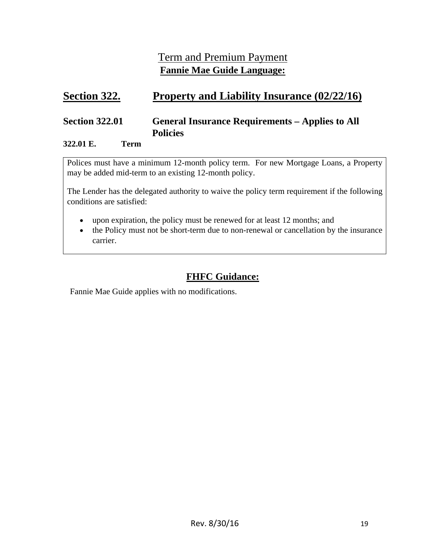### Term and Premium Payment **Fannie Mae Guide Language:**

### **Section 322. Property and Liability Insurance (02/22/16)**

### **Section 322.01 General Insurance Requirements – Applies to All Policies**

#### **322.01 E. Term**

Polices must have a minimum 12-month policy term. For new Mortgage Loans, a Property may be added mid-term to an existing 12-month policy.

The Lender has the delegated authority to waive the policy term requirement if the following conditions are satisfied:

- upon expiration, the policy must be renewed for at least 12 months; and
- the Policy must not be short-term due to non-renewal or cancellation by the insurance carrier.

### **FHFC Guidance:**

Fannie Mae Guide applies with no modifications.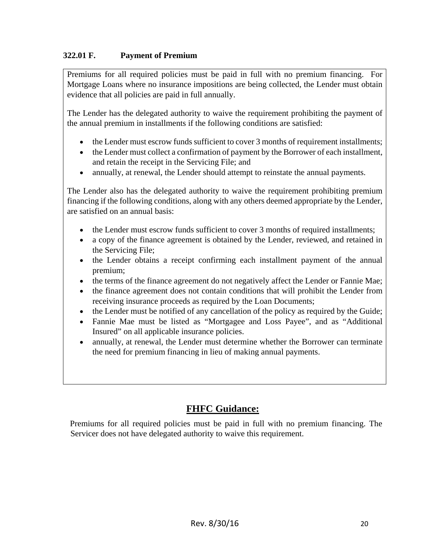#### **322.01 F. Payment of Premium**

Premiums for all required policies must be paid in full with no premium financing. For Mortgage Loans where no insurance impositions are being collected, the Lender must obtain evidence that all policies are paid in full annually.

The Lender has the delegated authority to waive the requirement prohibiting the payment of the annual premium in installments if the following conditions are satisfied:

- the Lender must escrow funds sufficient to cover 3 months of requirement installments;
- the Lender must collect a confirmation of payment by the Borrower of each installment, and retain the receipt in the Servicing File; and
- annually, at renewal, the Lender should attempt to reinstate the annual payments.

The Lender also has the delegated authority to waive the requirement prohibiting premium financing if the following conditions, along with any others deemed appropriate by the Lender, are satisfied on an annual basis:

- the Lender must escrow funds sufficient to cover 3 months of required installments;
- a copy of the finance agreement is obtained by the Lender, reviewed, and retained in the Servicing File;
- the Lender obtains a receipt confirming each installment payment of the annual premium;
- the terms of the finance agreement do not negatively affect the Lender or Fannie Mae;
- the finance agreement does not contain conditions that will prohibit the Lender from receiving insurance proceeds as required by the Loan Documents;
- the Lender must be notified of any cancellation of the policy as required by the Guide;
- Fannie Mae must be listed as "Mortgagee and Loss Payee", and as "Additional Insured" on all applicable insurance policies.
- annually, at renewal, the Lender must determine whether the Borrower can terminate the need for premium financing in lieu of making annual payments.

### **FHFC Guidance:**

Premiums for all required policies must be paid in full with no premium financing. The Servicer does not have delegated authority to waive this requirement.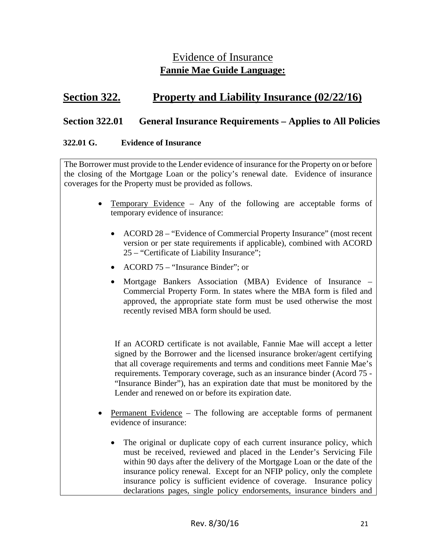### Evidence of Insurance **Fannie Mae Guide Language:**

### **Section 322. Property and Liability Insurance (02/22/16)**

#### **Section 322.01 General Insurance Requirements – Applies to All Policies**

#### **322.01 G. Evidence of Insurance**

The Borrower must provide to the Lender evidence of insurance for the Property on or before the closing of the Mortgage Loan or the policy's renewal date. Evidence of insurance coverages for the Property must be provided as follows.

- Temporary Evidence Any of the following are acceptable forms of temporary evidence of insurance:
	- ACORD 28 "Evidence of Commercial Property Insurance" (most recent version or per state requirements if applicable), combined with ACORD 25 – "Certificate of Liability Insurance";
	- ACORD 75 "Insurance Binder"; or
	- Mortgage Bankers Association (MBA) Evidence of Insurance Commercial Property Form. In states where the MBA form is filed and approved, the appropriate state form must be used otherwise the most recently revised MBA form should be used.

If an ACORD certificate is not available, Fannie Mae will accept a letter signed by the Borrower and the licensed insurance broker/agent certifying that all coverage requirements and terms and conditions meet Fannie Mae's requirements. Temporary coverage, such as an insurance binder (Acord 75 - "Insurance Binder"), has an expiration date that must be monitored by the Lender and renewed on or before its expiration date.

- Permanent Evidence The following are acceptable forms of permanent evidence of insurance:
	- The original or duplicate copy of each current insurance policy, which must be received, reviewed and placed in the Lender's Servicing File within 90 days after the delivery of the Mortgage Loan or the date of the insurance policy renewal. Except for an NFIP policy, only the complete insurance policy is sufficient evidence of coverage. Insurance policy declarations pages, single policy endorsements, insurance binders and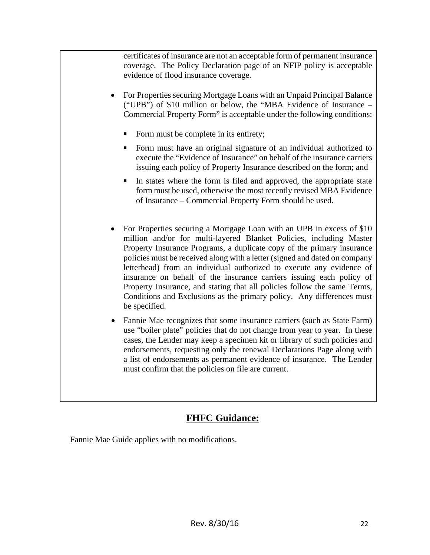certificates of insurance are not an acceptable form of permanent insurance coverage. The Policy Declaration page of an NFIP policy is acceptable evidence of flood insurance coverage.

- For Properties securing Mortgage Loans with an Unpaid Principal Balance ("UPB") of \$10 million or below, the "MBA Evidence of Insurance – Commercial Property Form" is acceptable under the following conditions:
	- Form must be complete in its entirety;
	- Form must have an original signature of an individual authorized to execute the "Evidence of Insurance" on behalf of the insurance carriers issuing each policy of Property Insurance described on the form; and
	- In states where the form is filed and approved, the appropriate state form must be used, otherwise the most recently revised MBA Evidence of Insurance – Commercial Property Form should be used.
- For Properties securing a Mortgage Loan with an UPB in excess of \$10 million and/or for multi-layered Blanket Policies, including Master Property Insurance Programs, a duplicate copy of the primary insurance policies must be received along with a letter (signed and dated on company letterhead) from an individual authorized to execute any evidence of insurance on behalf of the insurance carriers issuing each policy of Property Insurance, and stating that all policies follow the same Terms, Conditions and Exclusions as the primary policy. Any differences must be specified.
- Fannie Mae recognizes that some insurance carriers (such as State Farm) use "boiler plate" policies that do not change from year to year. In these cases, the Lender may keep a specimen kit or library of such policies and endorsements, requesting only the renewal Declarations Page along with a list of endorsements as permanent evidence of insurance. The Lender must confirm that the policies on file are current.

### **FHFC Guidance:**

Fannie Mae Guide applies with no modifications.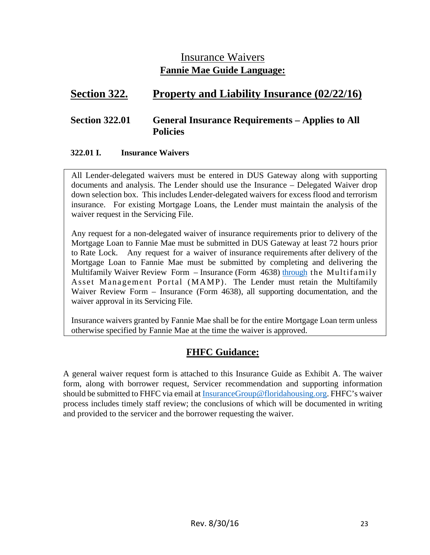### Insurance Waivers **Fannie Mae Guide Language:**

### **Section 322. Property and Liability Insurance (02/22/16)**

#### **Section 322.01 General Insurance Requirements – Applies to All Policies**

#### **322.01 I. Insurance Waivers**

All Lender-delegated waivers must be entered in DUS Gateway along with supporting documents and analysis. The Lender should use the Insurance – Delegated Waiver drop down selection box. This includes Lender-delegated waivers for excess flood and terrorism insurance. For existing Mortgage Loans, the Lender must maintain the analysis of the waiver request in the Servicing File.

Any request for a non-delegated waiver of insurance requirements prior to delivery of the Mortgage Loan to Fannie Mae must be submitted in DUS Gateway at least 72 hours prior to Rate Lock. Any request for a waiver of insurance requirements after delivery of the Mortgage Loan to Fannie Mae must be submitted by completing and delivering the Multifamily Waiver Review Form – Insurance (Form 4638) through the Multifamily Asset Management Portal (MAMP). The Lender must retain the Multifamily Waiver Review Form – Insurance (Form 4638), all supporting documentation, and the waiver approval in its Servicing File.

Insurance waivers granted by Fannie Mae shall be for the entire Mortgage Loan term unless otherwise specified by Fannie Mae at the time the waiver is approved.

### **FHFC Guidance:**

A general waiver request form is attached to this Insurance Guide as Exhibit A. The waiver form, along with borrower request, Servicer recommendation and supporting information should be submitted to FHFC via email at InsuranceGroup@floridahousing.org. FHFC's waiver process includes timely staff review; the conclusions of which will be documented in writing and provided to the servicer and the borrower requesting the waiver.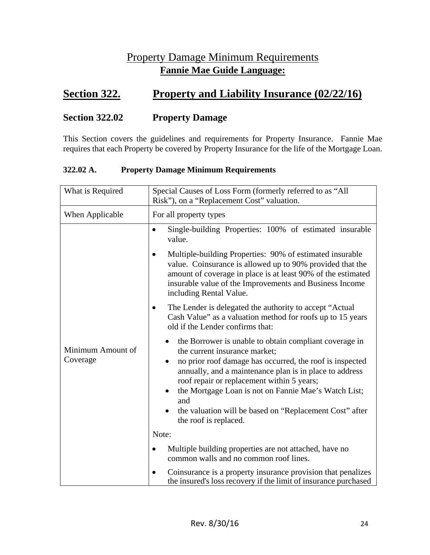### Property Damage Minimum Requirements **Fannie Mae Guide Language:**

### **<u>Section 322.</u> Property and Liability Insurance (02/22/16)</u>**

#### **Section 322.02 Property Damage**

This Section covers the guidelines and requirements for Property Insurance. Fannie Mae requires that each Property be covered by Property Insurance for the life of the Mortgage Loan.

#### **322.02 A. Property Damage Minimum Requirements**

| What is Required              | Special Causes of Loss Form (formerly referred to as "All<br>Risk"), on a "Replacement Cost" valuation.                                                                                                                                                                                                                                  |  |  |
|-------------------------------|------------------------------------------------------------------------------------------------------------------------------------------------------------------------------------------------------------------------------------------------------------------------------------------------------------------------------------------|--|--|
| When Applicable               | For all property types                                                                                                                                                                                                                                                                                                                   |  |  |
|                               | Single-building Properties: 100% of estimated insurable<br>$\bullet$<br>value.                                                                                                                                                                                                                                                           |  |  |
|                               | Multiple-building Properties: 90% of estimated insurable<br>$\bullet$<br>value. Coinsurance is allowed up to 90% provided that the<br>amount of coverage in place is at least 90% of the estimated<br>insurable value of the Improvements and Business Income<br>including Rental Value.                                                 |  |  |
|                               | The Lender is delegated the authority to accept "Actual"<br>Cash Value" as a valuation method for roofs up to 15 years<br>old if the Lender confirms that:                                                                                                                                                                               |  |  |
| Minimum Amount of<br>Coverage | the Borrower is unable to obtain compliant coverage in<br>the current insurance market;<br>no prior roof damage has occurred, the roof is inspected<br>annually, and a maintenance plan is in place to address<br>roof repair or replacement within 5 years;<br>the Mortgage Loan is not on Fannie Mae's Watch List;<br>$\bullet$<br>and |  |  |
|                               | the valuation will be based on "Replacement Cost" after<br>the roof is replaced.                                                                                                                                                                                                                                                         |  |  |
|                               | Note:                                                                                                                                                                                                                                                                                                                                    |  |  |
|                               | Multiple building properties are not attached, have no<br>$\bullet$<br>common walls and no common roof lines.                                                                                                                                                                                                                            |  |  |
|                               | Coinsurance is a property insurance provision that penalizes<br>the insured's loss recovery if the limit of insurance purchased                                                                                                                                                                                                          |  |  |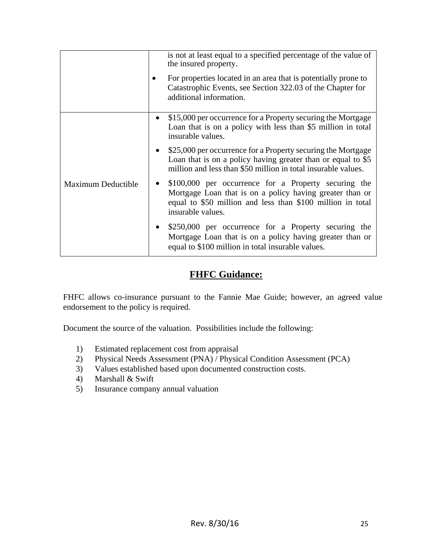|                    |           | is not at least equal to a specified percentage of the value of<br>the insured property.<br>For properties located in an area that is potentially prone to<br>Catastrophic Events, see Section 322.03 of the Chapter for<br>additional information. |
|--------------------|-----------|-----------------------------------------------------------------------------------------------------------------------------------------------------------------------------------------------------------------------------------------------------|
|                    | $\bullet$ | \$15,000 per occurrence for a Property securing the Mortgage<br>Loan that is on a policy with less than \$5 million in total<br>insurable values.                                                                                                   |
|                    |           | • \$25,000 per occurrence for a Property securing the Mortgage<br>Loan that is on a policy having greater than or equal to \$5<br>million and less than \$50 million in total insurable values.                                                     |
| Maximum Deductible |           | \$100,000 per occurrence for a Property securing the<br>Mortgage Loan that is on a policy having greater than or<br>equal to \$50 million and less than \$100 million in total<br>insurable values.                                                 |
|                    |           | \$250,000 per occurrence for a Property securing the<br>Mortgage Loan that is on a policy having greater than or<br>equal to \$100 million in total insurable values.                                                                               |

### **FHFC Guidance:**

FHFC allows co-insurance pursuant to the Fannie Mae Guide; however, an agreed value endorsement to the policy is required.

Document the source of the valuation. Possibilities include the following:

- 1) Estimated replacement cost from appraisal
- 2) Physical Needs Assessment (PNA) / Physical Condition Assessment (PCA)
- 3) Values established based upon documented construction costs.
- 4) Marshall & Swift
- 5) Insurance company annual valuation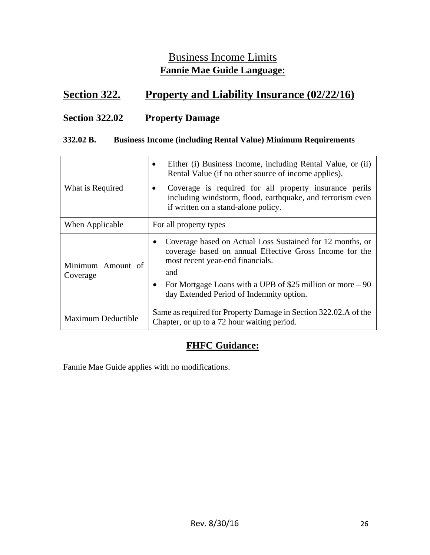### Business Income Limits **Fannie Mae Guide Language:**

### **Section 322. Property and Liability Insurance (02/22/16)**

#### **Section 322.02 Property Damage**

#### **332.02 B. Business Income (including Rental Value) Minimum Requirements**

| What is Required              | Either (i) Business Income, including Rental Value, or (ii)<br>Rental Value (if no other source of income applies).<br>Coverage is required for all property insurance perils<br>including windstorm, flood, earthquake, and terrorism even<br>if written on a stand-alone policy.     |
|-------------------------------|----------------------------------------------------------------------------------------------------------------------------------------------------------------------------------------------------------------------------------------------------------------------------------------|
| When Applicable               | For all property types                                                                                                                                                                                                                                                                 |
| Minimum Amount of<br>Coverage | Coverage based on Actual Loss Sustained for 12 months, or<br>coverage based on annual Effective Gross Income for the<br>most recent year-end financials.<br>and<br>For Mortgage Loans with a UPB of \$25 million or more - 90<br>$\bullet$<br>day Extended Period of Indemnity option. |
| <b>Maximum Deductible</b>     | Same as required for Property Damage in Section 322.02.A of the<br>Chapter, or up to a 72 hour waiting period.                                                                                                                                                                         |

### **FHFC Guidance:**

Fannie Mae Guide applies with no modifications.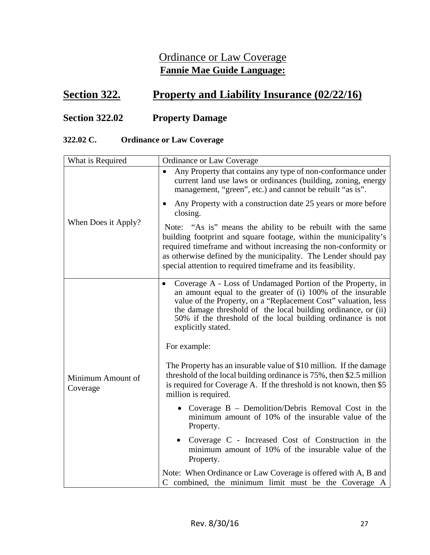### Ordinance or Law Coverage **Fannie Mae Guide Language:**

### **<u>Section 322.</u> Property and Liability Insurance (02/22/16)</u>**

### **Section 322.02 Property Damage**

#### **322.02 C. Ordinance or Law Coverage**

| What is Required              | Ordinance or Law Coverage                                                                                                                                                                                                                                                                                                                                         |
|-------------------------------|-------------------------------------------------------------------------------------------------------------------------------------------------------------------------------------------------------------------------------------------------------------------------------------------------------------------------------------------------------------------|
|                               | Any Property that contains any type of non-conformance under<br>$\bullet$<br>current land use laws or ordinances (building, zoning, energy<br>management, "green", etc.) and cannot be rebuilt "as is".                                                                                                                                                           |
|                               | Any Property with a construction date 25 years or more before<br>٠<br>closing.                                                                                                                                                                                                                                                                                    |
| When Does it Apply?           | Note: "As is" means the ability to be rebuilt with the same<br>building footprint and square footage, within the municipality's<br>required timeframe and without increasing the non-conformity or<br>as otherwise defined by the municipality. The Lender should pay<br>special attention to required timeframe and its feasibility.                             |
|                               | Coverage A - Loss of Undamaged Portion of the Property, in<br>an amount equal to the greater of (i) 100% of the insurable<br>value of the Property, on a "Replacement Cost" valuation, less<br>the damage threshold of the local building ordinance, or (ii)<br>50% if the threshold of the local building ordinance is not<br>explicitly stated.<br>For example: |
|                               |                                                                                                                                                                                                                                                                                                                                                                   |
| Minimum Amount of<br>Coverage | The Property has an insurable value of \$10 million. If the damage<br>threshold of the local building ordinance is 75%, then \$2.5 million<br>is required for Coverage A. If the threshold is not known, then \$5<br>million is required.                                                                                                                         |
|                               | Coverage B - Demolition/Debris Removal Cost in the<br>minimum amount of 10% of the insurable value of the<br>Property.                                                                                                                                                                                                                                            |
|                               | Coverage C - Increased Cost of Construction in the<br>$\bullet$<br>minimum amount of 10% of the insurable value of the<br>Property.                                                                                                                                                                                                                               |
|                               | Note: When Ordinance or Law Coverage is offered with A, B and<br>C combined, the minimum limit must be the Coverage A                                                                                                                                                                                                                                             |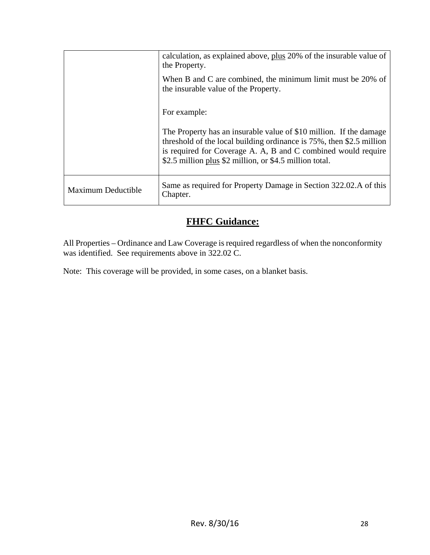|                    | calculation, as explained above, plus 20% of the insurable value of<br>the Property.                                                                                                                                                                                       |
|--------------------|----------------------------------------------------------------------------------------------------------------------------------------------------------------------------------------------------------------------------------------------------------------------------|
|                    | When B and C are combined, the minimum limit must be 20% of<br>the insurable value of the Property.                                                                                                                                                                        |
|                    | For example:                                                                                                                                                                                                                                                               |
|                    | The Property has an insurable value of \$10 million. If the damage<br>threshold of the local building ordinance is $75\%$ , then \$2.5 million<br>is required for Coverage A. A, B and C combined would require<br>\$2.5 million plus \$2 million, or \$4.5 million total. |
| Maximum Deductible | Same as required for Property Damage in Section 322.02.A of this<br>Chapter.                                                                                                                                                                                               |

### **FHFC Guidance:**

All Properties – Ordinance and Law Coverage is required regardless of when the nonconformity was identified. See requirements above in 322.02 C.

Note: This coverage will be provided, in some cases, on a blanket basis.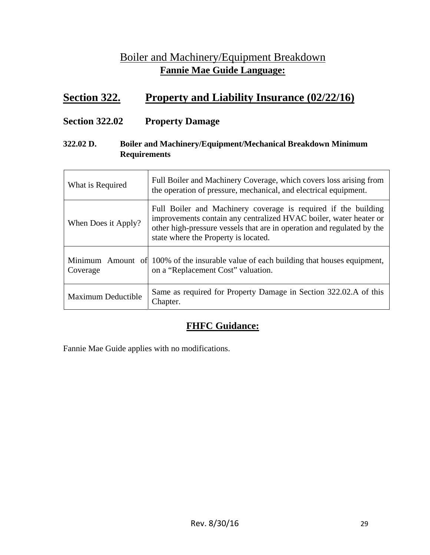### Boiler and Machinery/Equipment Breakdown **Fannie Mae Guide Language:**

### **Section 322. Property and Liability Insurance (02/22/16)**

#### **Section 322.02 Property Damage**

#### **322.02 D. Boiler and Machinery/Equipment/Mechanical Breakdown Minimum Requirements**

| What is Required          | Full Boiler and Machinery Coverage, which covers loss arising from<br>the operation of pressure, mechanical, and electrical equipment.                                                                                                                |
|---------------------------|-------------------------------------------------------------------------------------------------------------------------------------------------------------------------------------------------------------------------------------------------------|
| When Does it Apply?       | Full Boiler and Machinery coverage is required if the building<br>improvements contain any centralized HVAC boiler, water heater or<br>other high-pressure vessels that are in operation and regulated by the<br>state where the Property is located. |
| Coverage                  | Minimum Amount of 100% of the insurable value of each building that houses equipment,<br>on a "Replacement Cost" valuation.                                                                                                                           |
| <b>Maximum Deductible</b> | Same as required for Property Damage in Section 322.02.A of this<br>Chapter.                                                                                                                                                                          |

### **FHFC Guidance:**

Fannie Mae Guide applies with no modifications.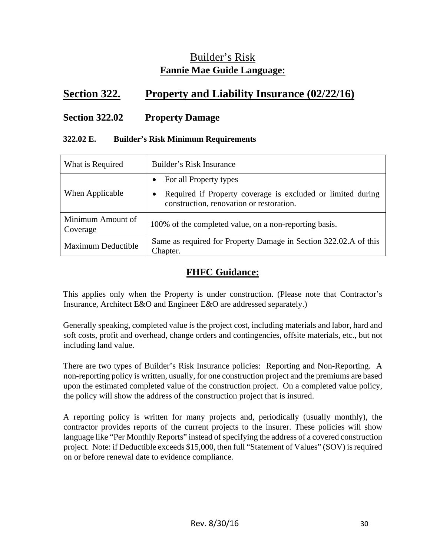### Builder's Risk **Fannie Mae Guide Language:**

### **Section 322. Property and Liability Insurance (02/22/16)**

#### **Section 322.02 Property Damage**

#### **322.02 E. Builder's Risk Minimum Requirements**

| What is Required              | Builder's Risk Insurance                                                                                |
|-------------------------------|---------------------------------------------------------------------------------------------------------|
|                               | For all Property types                                                                                  |
| When Applicable               | Required if Property coverage is excluded or limited during<br>construction, renovation or restoration. |
| Minimum Amount of<br>Coverage | 100% of the completed value, on a non-reporting basis.                                                  |
| <b>Maximum Deductible</b>     | Same as required for Property Damage in Section 322.02.A of this<br>Chapter.                            |

#### **FHFC Guidance:**

This applies only when the Property is under construction. (Please note that Contractor's Insurance, Architect E&O and Engineer E&O are addressed separately.)

Generally speaking, completed value is the project cost, including materials and labor, hard and soft costs, profit and overhead, change orders and contingencies, offsite materials, etc., but not including land value.

There are two types of Builder's Risk Insurance policies: Reporting and Non-Reporting. A non-reporting policy is written, usually, for one construction project and the premiums are based upon the estimated completed value of the construction project. On a completed value policy, the policy will show the address of the construction project that is insured.

A reporting policy is written for many projects and, periodically (usually monthly), the contractor provides reports of the current projects to the insurer. These policies will show language like "Per Monthly Reports" instead of specifying the address of a covered construction project. Note: if Deductible exceeds \$15,000, then full "Statement of Values" (SOV) is required on or before renewal date to evidence compliance.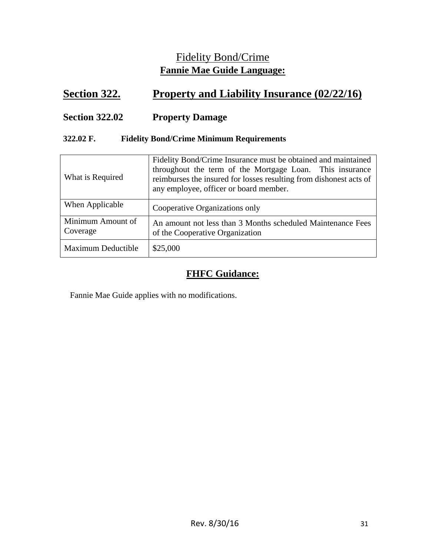### Fidelity Bond/Crime **Fannie Mae Guide Language:**

### **Section 322. Property and Liability Insurance (02/22/16)**

### **Section 322.02 Property Damage**

#### **322.02 F. Fidelity Bond/Crime Minimum Requirements**

| What is Required              | Fidelity Bond/Crime Insurance must be obtained and maintained<br>throughout the term of the Mortgage Loan. This insurance<br>reimburses the insured for losses resulting from dishonest acts of<br>any employee, officer or board member. |
|-------------------------------|-------------------------------------------------------------------------------------------------------------------------------------------------------------------------------------------------------------------------------------------|
| When Applicable               | Cooperative Organizations only                                                                                                                                                                                                            |
| Minimum Amount of<br>Coverage | An amount not less than 3 Months scheduled Maintenance Fees<br>of the Cooperative Organization                                                                                                                                            |
| <b>Maximum Deductible</b>     | \$25,000                                                                                                                                                                                                                                  |

### **FHFC Guidance:**

Fannie Mae Guide applies with no modifications.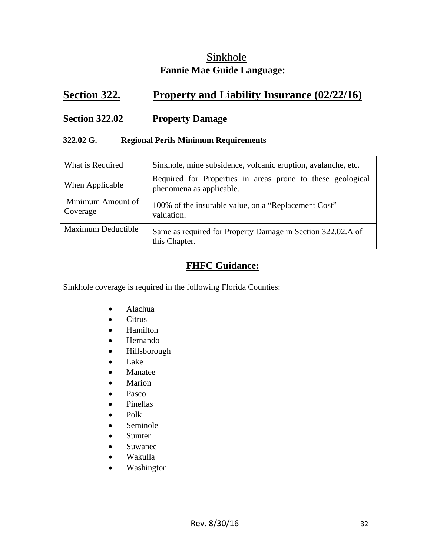### Sinkhole **Fannie Mae Guide Language:**

### **Section 322. Property and Liability Insurance (02/22/16)**

#### **Section 322.02 Property Damage**

#### **322.02 G. Regional Perils Minimum Requirements**

| What is Required              | Sinkhole, mine subsidence, volcanic eruption, avalanche, etc.                          |
|-------------------------------|----------------------------------------------------------------------------------------|
| When Applicable               | Required for Properties in areas prone to these geological<br>phenomena as applicable. |
| Minimum Amount of<br>Coverage | 100% of the insurable value, on a "Replacement Cost"<br>valuation.                     |
| Maximum Deductible            | Same as required for Property Damage in Section 322.02.A of<br>this Chapter.           |

### **FHFC Guidance:**

Sinkhole coverage is required in the following Florida Counties:

- Alachua
- Citrus
- Hamilton
- Hernando
- Hillsborough
- Lake
- Manatee
- Marion
- Pasco
- Pinellas
- $\bullet$  Polk
- Seminole
- Sumter
- Suwanee
- Wakulla
- Washington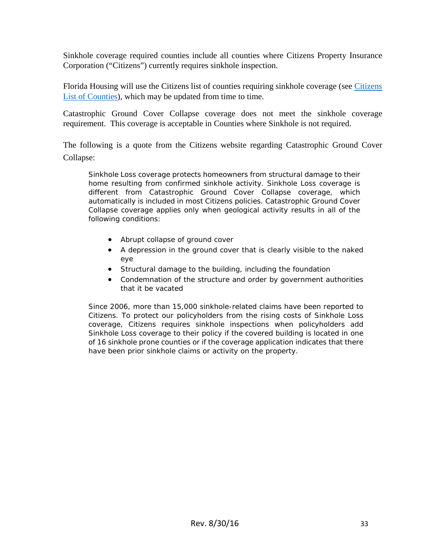Sinkhole coverage required counties include all counties where Citizens Property Insurance Corporation ("Citizens") currently requires sinkhole inspection.

Florida Housing will use the Citizens list of counties requiring sinkhole coverage (see Citizens List of Counties), which may be updated from time to time.

Catastrophic Ground Cover Collapse coverage does not meet the sinkhole coverage requirement. This coverage is acceptable in Counties where Sinkhole is not required.

The following is a quote from the Citizens website regarding Catastrophic Ground Cover Collapse:

Sinkhole Loss coverage protects homeowners from structural damage to their home resulting from confirmed sinkhole activity. Sinkhole Loss coverage is different from Catastrophic Ground Cover Collapse coverage, which automatically is included in most Citizens policies. Catastrophic Ground Cover Collapse coverage applies only when geological activity results in *all* of the following conditions:

- Abrupt collapse of ground cover
- A depression in the ground cover that is clearly visible to the naked eye
- Structural damage to the building, including the foundation
- Condemnation of the structure and order by government authorities that it be vacated

Since 2006, more than 15,000 sinkhole-related claims have been reported to Citizens. To protect our policyholders from the rising costs of Sinkhole Loss coverage, Citizens requires sinkhole inspections when policyholders add Sinkhole Loss coverage to their policy if the covered building is located in one of 16 sinkhole prone counties or if the coverage application indicates that there have been prior sinkhole claims or activity on the property.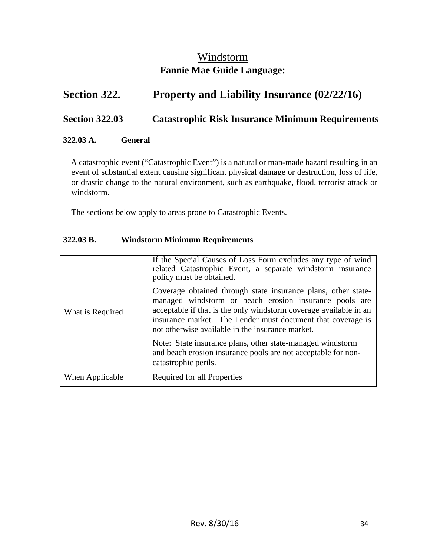### Windstorm **Fannie Mae Guide Language:**

### **<u>Section 322.</u> Property and Liability Insurance (02/22/16)</u>**

#### **Section 322.03 Catastrophic Risk Insurance Minimum Requirements**

#### **322.03 A. General**

A catastrophic event ("Catastrophic Event") is a natural or man-made hazard resulting in an event of substantial extent causing significant physical damage or destruction, loss of life, or drastic change to the natural environment, such as earthquake, flood, terrorist attack or windstorm.

The sections below apply to areas prone to Catastrophic Events.

#### **322.03 B. Windstorm Minimum Requirements**

| What is Required | If the Special Causes of Loss Form excludes any type of wind<br>related Catastrophic Event, a separate windstorm insurance<br>policy must be obtained.<br>Coverage obtained through state insurance plans, other state-<br>managed windstorm or beach erosion insurance pools are<br>acceptable if that is the only windstorm coverage available in an<br>insurance market. The Lender must document that coverage is<br>not otherwise available in the insurance market.<br>Note: State insurance plans, other state-managed windstorm<br>and beach erosion insurance pools are not acceptable for non- |
|------------------|----------------------------------------------------------------------------------------------------------------------------------------------------------------------------------------------------------------------------------------------------------------------------------------------------------------------------------------------------------------------------------------------------------------------------------------------------------------------------------------------------------------------------------------------------------------------------------------------------------|
|                  | catastrophic perils.                                                                                                                                                                                                                                                                                                                                                                                                                                                                                                                                                                                     |
| When Applicable  | Required for all Properties                                                                                                                                                                                                                                                                                                                                                                                                                                                                                                                                                                              |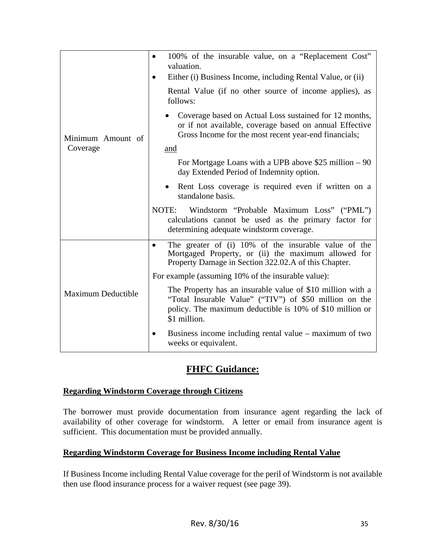| Minimum Amount of         | 100% of the insurable value, on a "Replacement Cost"<br>$\bullet$<br>valuation.<br>Either (i) Business Income, including Rental Value, or (ii)                                                   |
|---------------------------|--------------------------------------------------------------------------------------------------------------------------------------------------------------------------------------------------|
|                           | Rental Value (if no other source of income applies), as<br>follows:                                                                                                                              |
|                           | Coverage based on Actual Loss sustained for 12 months,<br>or if not available, coverage based on annual Effective<br>Gross Income for the most recent year-end financials;                       |
| Coverage                  | and                                                                                                                                                                                              |
|                           | For Mortgage Loans with a UPB above \$25 million $-90$<br>day Extended Period of Indemnity option.                                                                                               |
|                           | Rent Loss coverage is required even if written on a<br>$\bullet$<br>standalone basis.                                                                                                            |
|                           | NOTE:<br>Windstorm "Probable Maximum Loss" ("PML")<br>calculations cannot be used as the primary factor for<br>determining adequate windstorm coverage.                                          |
| <b>Maximum Deductible</b> | The greater of (i) 10% of the insurable value of the<br>$\bullet$<br>Mortgaged Property, or (ii) the maximum allowed for<br>Property Damage in Section 322.02.A of this Chapter.                 |
|                           | For example (assuming 10% of the insurable value):                                                                                                                                               |
|                           | The Property has an insurable value of \$10 million with a<br>"Total Insurable Value" ("TIV") of \$50 million on the<br>policy. The maximum deductible is 10% of \$10 million or<br>\$1 million. |
|                           | Business income including rental value – maximum of two<br>weeks or equivalent.                                                                                                                  |

### **FHFC Guidance:**

#### **Regarding Windstorm Coverage through Citizens**

The borrower must provide documentation from insurance agent regarding the lack of availability of other coverage for windstorm. A letter or email from insurance agent is sufficient. This documentation must be provided annually.

#### **Regarding Windstorm Coverage for Business Income including Rental Value**

If Business Income including Rental Value coverage for the peril of Windstorm is not available then use flood insurance process for a waiver request (see page 39).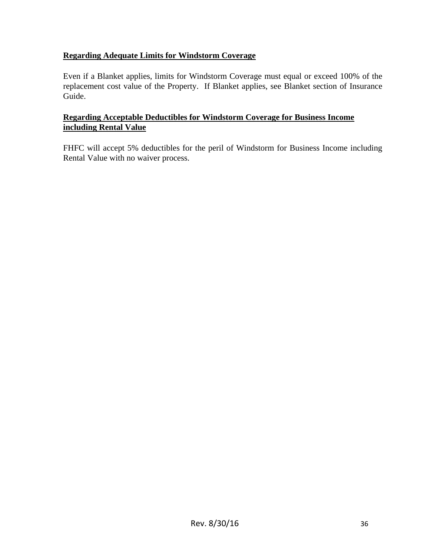#### **Regarding Adequate Limits for Windstorm Coverage**

Even if a Blanket applies, limits for Windstorm Coverage must equal or exceed 100% of the replacement cost value of the Property. If Blanket applies, see Blanket section of Insurance Guide.

#### **Regarding Acceptable Deductibles for Windstorm Coverage for Business Income including Rental Value**

FHFC will accept 5% deductibles for the peril of Windstorm for Business Income including Rental Value with no waiver process.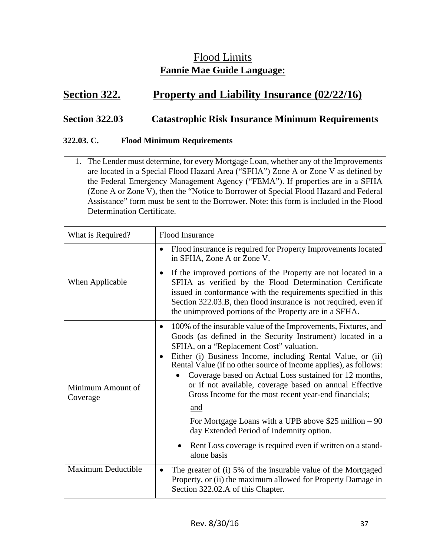### Flood Limits **Fannie Mae Guide Language:**

### **<u>Section 322.</u> Property and Liability Insurance (02/22/16)</u>**

#### **Section 322.03 Catastrophic Risk Insurance Minimum Requirements**

#### **322.03. C. Flood Minimum Requirements**

1. The Lender must determine, for every Mortgage Loan, whether any of the Improvements are located in a Special Flood Hazard Area ("SFHA") Zone A or Zone V as defined by the Federal Emergency Management Agency ("FEMA"). If properties are in a SFHA (Zone A or Zone V), then the "Notice to Borrower of Special Flood Hazard and Federal Assistance" form must be sent to the Borrower. Note: this form is included in the Flood Determination Certificate.

| What is Required?             | <b>Flood Insurance</b>                                                                                                                                                                                                                                                                                                                                                                                                                                                                                                                                                                                                                                                                                        |
|-------------------------------|---------------------------------------------------------------------------------------------------------------------------------------------------------------------------------------------------------------------------------------------------------------------------------------------------------------------------------------------------------------------------------------------------------------------------------------------------------------------------------------------------------------------------------------------------------------------------------------------------------------------------------------------------------------------------------------------------------------|
|                               | Flood insurance is required for Property Improvements located<br>$\bullet$<br>in SFHA, Zone A or Zone V.                                                                                                                                                                                                                                                                                                                                                                                                                                                                                                                                                                                                      |
| When Applicable               | If the improved portions of the Property are not located in a<br>$\bullet$<br>SFHA as verified by the Flood Determination Certificate<br>issued in conformance with the requirements specified in this<br>Section 322.03.B, then flood insurance is not required, even if<br>the unimproved portions of the Property are in a SFHA.                                                                                                                                                                                                                                                                                                                                                                           |
| Minimum Amount of<br>Coverage | 100% of the insurable value of the Improvements, Fixtures, and<br>$\bullet$<br>Goods (as defined in the Security Instrument) located in a<br>SFHA, on a "Replacement Cost" valuation.<br>Either (i) Business Income, including Rental Value, or (ii)<br>$\bullet$<br>Rental Value (if no other source of income applies), as follows:<br>Coverage based on Actual Loss sustained for 12 months,<br>or if not available, coverage based on annual Effective<br>Gross Income for the most recent year-end financials;<br>and<br>For Mortgage Loans with a UPB above \$25 million $-90$<br>day Extended Period of Indemnity option.<br>Rent Loss coverage is required even if written on a stand-<br>alone basis |
| Maximum Deductible            | The greater of (i) 5% of the insurable value of the Mortgaged<br>$\bullet$<br>Property, or (ii) the maximum allowed for Property Damage in<br>Section 322.02.A of this Chapter.                                                                                                                                                                                                                                                                                                                                                                                                                                                                                                                               |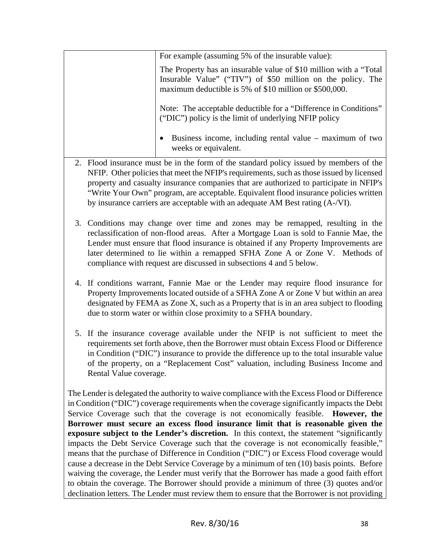| For example (assuming 5% of the insurable value):                                                                                                                                           |
|---------------------------------------------------------------------------------------------------------------------------------------------------------------------------------------------|
| The Property has an insurable value of \$10 million with a "Total"<br>Insurable Value" ("TIV") of \$50 million on the policy. The<br>maximum deductible is 5% of \$10 million or \$500,000. |
| Note: The acceptable deductible for a "Difference in Conditions"<br>("DIC") policy is the limit of underlying NFIP policy                                                                   |
| Business income, including rental value – maximum of two<br>$\bullet$<br>weeks or equivalent.                                                                                               |

- 2. Flood insurance must be in the form of the standard policy issued by members of the NFIP. Other policies that meet the NFIP's requirements, such as those issued by licensed property and casualty insurance companies that are authorized to participate in NFIP's "Write Your Own" program, are acceptable. Equivalent flood insurance policies written by insurance carriers are acceptable with an adequate AM Best rating (A-/VI).
- 3. Conditions may change over time and zones may be remapped, resulting in the reclassification of non-flood areas. After a Mortgage Loan is sold to Fannie Mae, the Lender must ensure that flood insurance is obtained if any Property Improvements are later determined to lie within a remapped SFHA Zone A or Zone V. Methods of compliance with request are discussed in subsections 4 and 5 below.
- 4. If conditions warrant, Fannie Mae or the Lender may require flood insurance for Property Improvements located outside of a SFHA Zone A or Zone V but within an area designated by FEMA as Zone X, such as a Property that is in an area subject to flooding due to storm water or within close proximity to a SFHA boundary.
- 5. If the insurance coverage available under the NFIP is not sufficient to meet the requirements set forth above, then the Borrower must obtain Excess Flood or Difference in Condition ("DIC") insurance to provide the difference up to the total insurable value of the property, on a "Replacement Cost" valuation, including Business Income and Rental Value coverage.

The Lender is delegated the authority to waive compliance with the Excess Flood or Difference in Condition ("DIC") coverage requirements when the coverage significantly impacts the Debt Service Coverage such that the coverage is not economically feasible. **However, the Borrower must secure an excess flood insurance limit that is reasonable given the exposure subject to the Lender's discretion.** In this context, the statement "significantly impacts the Debt Service Coverage such that the coverage is not economically feasible," means that the purchase of Difference in Condition ("DIC") or Excess Flood coverage would cause a decrease in the Debt Service Coverage by a minimum of ten (10) basis points. Before waiving the coverage, the Lender must verify that the Borrower has made a good faith effort to obtain the coverage. The Borrower should provide a minimum of three (3) quotes and/or declination letters. The Lender must review them to ensure that the Borrower is not providing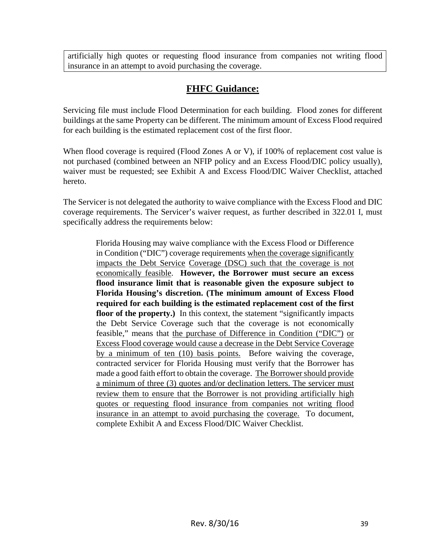artificially high quotes or requesting flood insurance from companies not writing flood insurance in an attempt to avoid purchasing the coverage.

### **FHFC Guidance:**

Servicing file must include Flood Determination for each building. Flood zones for different buildings at the same Property can be different. The minimum amount of Excess Flood required for each building is the estimated replacement cost of the first floor.

When flood coverage is required (Flood Zones A or V), if 100% of replacement cost value is not purchased (combined between an NFIP policy and an Excess Flood/DIC policy usually), waiver must be requested; see Exhibit A and Excess Flood/DIC Waiver Checklist, attached hereto.

The Servicer is not delegated the authority to waive compliance with the Excess Flood and DIC coverage requirements. The Servicer's waiver request, as further described in 322.01 I, must specifically address the requirements below:

Florida Housing may waive compliance with the Excess Flood or Difference in Condition ("DIC") coverage requirements when the coverage significantly impacts the Debt Service Coverage (DSC) such that the coverage is not economically feasible. **However, the Borrower must secure an excess flood insurance limit that is reasonable given the exposure subject to Florida Housing's discretion. (The minimum amount of Excess Flood required for each building is the estimated replacement cost of the first floor of the property.**) In this context, the statement "significantly impacts the Debt Service Coverage such that the coverage is not economically feasible," means that the purchase of Difference in Condition ("DIC") or Excess Flood coverage would cause a decrease in the Debt Service Coverage by a minimum of ten (10) basis points. Before waiving the coverage, contracted servicer for Florida Housing must verify that the Borrower has made a good faith effort to obtain the coverage. The Borrower should provide a minimum of three (3) quotes and/or declination letters. The servicer must review them to ensure that the Borrower is not providing artificially high quotes or requesting flood insurance from companies not writing flood insurance in an attempt to avoid purchasing the coverage. To document, complete Exhibit A and Excess Flood/DIC Waiver Checklist.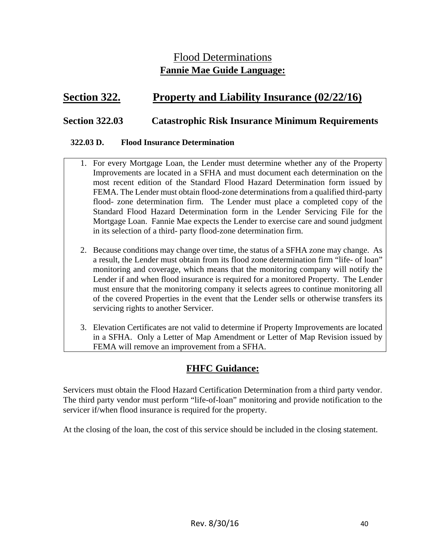### Flood Determinations **Fannie Mae Guide Language:**

### **Section 322. Property and Liability Insurance (02/22/16)**

#### **Section 322.03 Catastrophic Risk Insurance Minimum Requirements**

#### **322.03 D. Flood Insurance Determination**

- 1. For every Mortgage Loan, the Lender must determine whether any of the Property Improvements are located in a SFHA and must document each determination on the most recent edition of the Standard Flood Hazard Determination form issued by FEMA. The Lender must obtain flood-zone determinations from a qualified third-party flood- zone determination firm. The Lender must place a completed copy of the Standard Flood Hazard Determination form in the Lender Servicing File for the Mortgage Loan. Fannie Mae expects the Lender to exercise care and sound judgment in its selection of a third- party flood-zone determination firm.
- 2. Because conditions may change over time, the status of a SFHA zone may change. As a result, the Lender must obtain from its flood zone determination firm "life- of loan" monitoring and coverage, which means that the monitoring company will notify the Lender if and when flood insurance is required for a monitored Property. The Lender must ensure that the monitoring company it selects agrees to continue monitoring all of the covered Properties in the event that the Lender sells or otherwise transfers its servicing rights to another Servicer.
- 3. Elevation Certificates are not valid to determine if Property Improvements are located in a SFHA. Only a Letter of Map Amendment or Letter of Map Revision issued by FEMA will remove an improvement from a SFHA.

#### **FHFC Guidance:**

Servicers must obtain the Flood Hazard Certification Determination from a third party vendor. The third party vendor must perform "life-of-loan" monitoring and provide notification to the servicer if/when flood insurance is required for the property.

At the closing of the loan, the cost of this service should be included in the closing statement.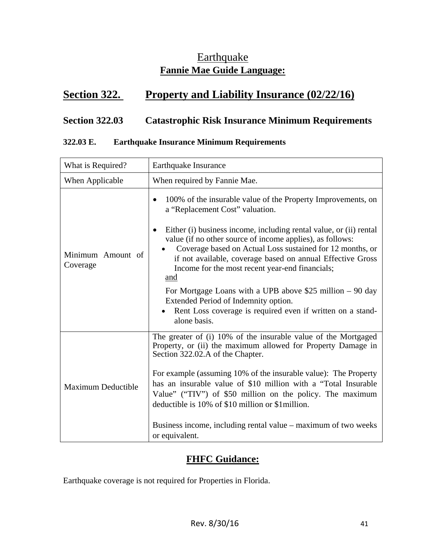### **Earthquake Fannie Mae Guide Language:**

### **Section 322. Property and Liability Insurance (02/22/16)**

### **Section 322.03 Catastrophic Risk Insurance Minimum Requirements**

#### **322.03 E. Earthquake Insurance Minimum Requirements**

| What is Required?             | Earthquake Insurance                                                                                                                                                                                                                                                                                                                                                                                                                                                                                                                                                                                                |
|-------------------------------|---------------------------------------------------------------------------------------------------------------------------------------------------------------------------------------------------------------------------------------------------------------------------------------------------------------------------------------------------------------------------------------------------------------------------------------------------------------------------------------------------------------------------------------------------------------------------------------------------------------------|
| When Applicable               | When required by Fannie Mae.                                                                                                                                                                                                                                                                                                                                                                                                                                                                                                                                                                                        |
| Minimum Amount of<br>Coverage | 100% of the insurable value of the Property Improvements, on<br>a "Replacement Cost" valuation.<br>Either (i) business income, including rental value, or (ii) rental<br>value (if no other source of income applies), as follows:<br>Coverage based on Actual Loss sustained for 12 months, or<br>if not available, coverage based on annual Effective Gross<br>Income for the most recent year-end financials;<br>and<br>For Mortgage Loans with a UPB above \$25 million $-90 \text{ day}$<br>Extended Period of Indemnity option.<br>Rent Loss coverage is required even if written on a stand-<br>alone basis. |
| <b>Maximum Deductible</b>     | The greater of (i) 10% of the insurable value of the Mortgaged<br>Property, or (ii) the maximum allowed for Property Damage in<br>Section 322.02.A of the Chapter.<br>For example (assuming 10% of the insurable value): The Property<br>has an insurable value of \$10 million with a "Total Insurable"<br>Value" ("TIV") of \$50 million on the policy. The maximum<br>deductible is 10% of \$10 million or \$1 million.<br>Business income, including rental value - maximum of two weeks<br>or equivalent.                                                                                                      |

### **FHFC Guidance:**

Earthquake coverage is not required for Properties in Florida.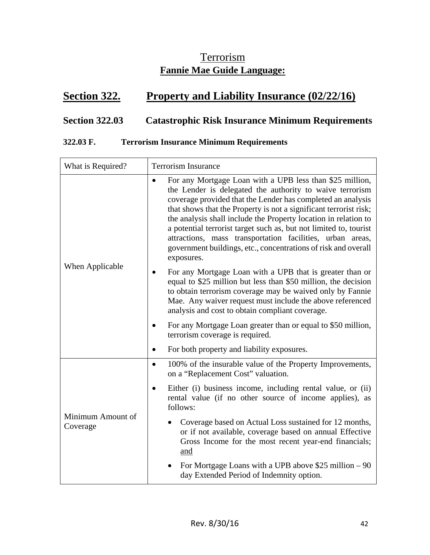### **Terrorism Fannie Mae Guide Language:**

### **Section 322. Property and Liability Insurance (02/22/16)**

### **Section 322.03 Catastrophic Risk Insurance Minimum Requirements**

#### **322.03 F. Terrorism Insurance Minimum Requirements**

| What is Required?             | <b>Terrorism Insurance</b>                                                                                                                                                                                                                                                                                                                                                                                                                                                                                                                                 |
|-------------------------------|------------------------------------------------------------------------------------------------------------------------------------------------------------------------------------------------------------------------------------------------------------------------------------------------------------------------------------------------------------------------------------------------------------------------------------------------------------------------------------------------------------------------------------------------------------|
| When Applicable               | For any Mortgage Loan with a UPB less than \$25 million,<br>$\bullet$<br>the Lender is delegated the authority to waive terrorism<br>coverage provided that the Lender has completed an analysis<br>that shows that the Property is not a significant terrorist risk;<br>the analysis shall include the Property location in relation to<br>a potential terrorist target such as, but not limited to, tourist<br>attractions, mass transportation facilities, urban areas,<br>government buildings, etc., concentrations of risk and overall<br>exposures. |
|                               | For any Mortgage Loan with a UPB that is greater than or<br>equal to \$25 million but less than \$50 million, the decision<br>to obtain terrorism coverage may be waived only by Fannie<br>Mae. Any waiver request must include the above referenced<br>analysis and cost to obtain compliant coverage.                                                                                                                                                                                                                                                    |
|                               | For any Mortgage Loan greater than or equal to \$50 million,<br>$\bullet$<br>terrorism coverage is required.                                                                                                                                                                                                                                                                                                                                                                                                                                               |
|                               | For both property and liability exposures.<br>$\bullet$                                                                                                                                                                                                                                                                                                                                                                                                                                                                                                    |
| Minimum Amount of<br>Coverage | 100% of the insurable value of the Property Improvements,<br>$\bullet$<br>on a "Replacement Cost" valuation.                                                                                                                                                                                                                                                                                                                                                                                                                                               |
|                               | Either (i) business income, including rental value, or (ii)<br>$\bullet$<br>rental value (if no other source of income applies), as<br>follows:                                                                                                                                                                                                                                                                                                                                                                                                            |
|                               | Coverage based on Actual Loss sustained for 12 months,<br>$\bullet$<br>or if not available, coverage based on annual Effective<br>Gross Income for the most recent year-end financials;<br>and                                                                                                                                                                                                                                                                                                                                                             |
|                               | For Mortgage Loans with a UPB above \$25 million $-90$<br>day Extended Period of Indemnity option.                                                                                                                                                                                                                                                                                                                                                                                                                                                         |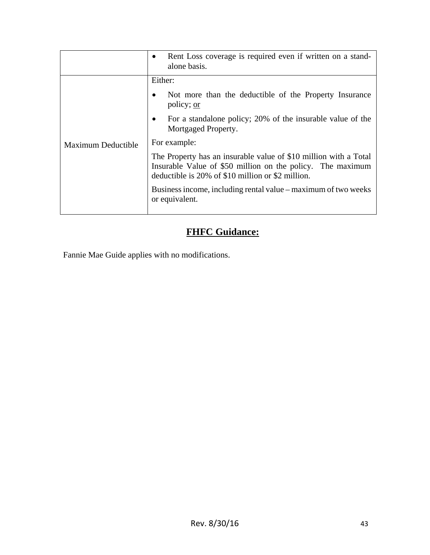|                           | Rent Loss coverage is required even if written on a stand-<br>alone basis.                                                                                                          |
|---------------------------|-------------------------------------------------------------------------------------------------------------------------------------------------------------------------------------|
| <b>Maximum Deductible</b> | Either:                                                                                                                                                                             |
|                           | Not more than the deductible of the Property Insurance<br>policy; or                                                                                                                |
|                           | For a standalone policy; 20% of the insurable value of the<br>Mortgaged Property.                                                                                                   |
|                           | For example:                                                                                                                                                                        |
|                           | The Property has an insurable value of \$10 million with a Total<br>Insurable Value of \$50 million on the policy. The maximum<br>deductible is 20% of \$10 million or \$2 million. |
|                           | Business income, including rental value – maximum of two weeks<br>or equivalent.                                                                                                    |

### **FHFC Guidance:**

Fannie Mae Guide applies with no modifications.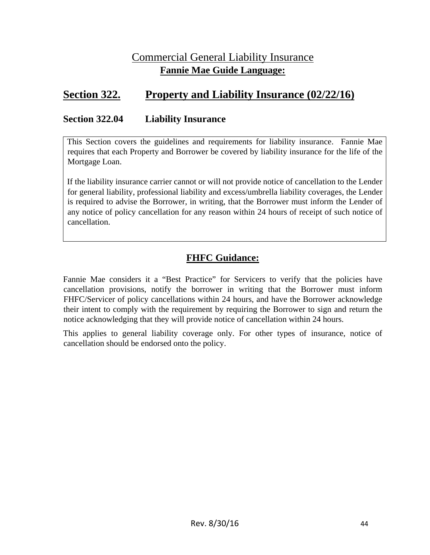### Commercial General Liability Insurance **Fannie Mae Guide Language:**

### **Section 322. Property and Liability Insurance (02/22/16)**

#### **Section 322.04 Liability Insurance**

This Section covers the guidelines and requirements for liability insurance. Fannie Mae requires that each Property and Borrower be covered by liability insurance for the life of the Mortgage Loan.

If the liability insurance carrier cannot or will not provide notice of cancellation to the Lender for general liability, professional liability and excess/umbrella liability coverages, the Lender is required to advise the Borrower, in writing, that the Borrower must inform the Lender of any notice of policy cancellation for any reason within 24 hours of receipt of such notice of cancellation.

### **FHFC Guidance:**

Fannie Mae considers it a "Best Practice" for Servicers to verify that the policies have cancellation provisions, notify the borrower in writing that the Borrower must inform FHFC/Servicer of policy cancellations within 24 hours, and have the Borrower acknowledge their intent to comply with the requirement by requiring the Borrower to sign and return the notice acknowledging that they will provide notice of cancellation within 24 hours.

This applies to general liability coverage only. For other types of insurance, notice of cancellation should be endorsed onto the policy.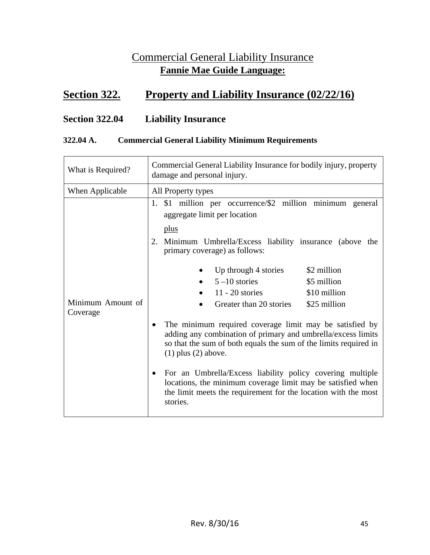### Commercial General Liability Insurance **Fannie Mae Guide Language:**

### **Section 322. Property and Liability Insurance (02/22/16)**

### **Section 322.04 Liability Insurance**

#### **322.04 A. Commercial General Liability Minimum Requirements**

| What is Required?             | Commercial General Liability Insurance for bodily injury, property<br>damage and personal injury.                                                                                                                                                                                                                                                                                                                                |
|-------------------------------|----------------------------------------------------------------------------------------------------------------------------------------------------------------------------------------------------------------------------------------------------------------------------------------------------------------------------------------------------------------------------------------------------------------------------------|
| When Applicable               | All Property types                                                                                                                                                                                                                                                                                                                                                                                                               |
| Minimum Amount of<br>Coverage | 1. \$1 million per occurrence/\$2 million minimum general<br>aggregate limit per location<br>plus<br>2. Minimum Umbrella/Excess liability insurance (above the<br>primary coverage) as follows:<br>\$2 million<br>Up through 4 stories<br>$5 - 10$ stories<br>\$5 million<br>$11 - 20$ stories<br>\$10 million<br>Greater than 20 stories<br>\$25 million                                                                        |
|                               | The minimum required coverage limit may be satisfied by<br>adding any combination of primary and umbrella/excess limits<br>so that the sum of both equals the sum of the limits required in<br>$(1)$ plus $(2)$ above.<br>For an Umbrella/Excess liability policy covering multiple<br>locations, the minimum coverage limit may be satisfied when<br>the limit meets the requirement for the location with the most<br>stories. |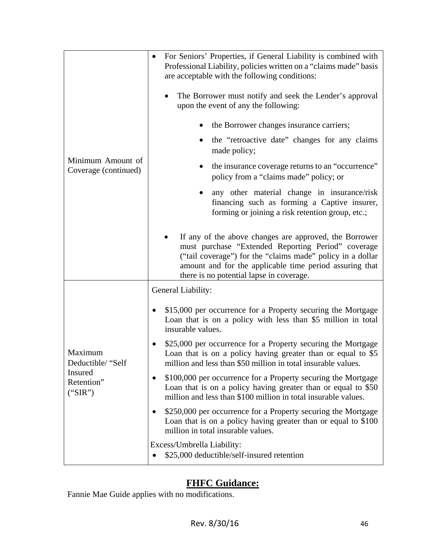|                                                                  | For Seniors' Properties, if General Liability is combined with<br>$\bullet$<br>Professional Liability, policies written on a "claims made" basis<br>are acceptable with the following conditions:<br>The Borrower must notify and seek the Lender's approval<br>upon the event of any the following: |
|------------------------------------------------------------------|------------------------------------------------------------------------------------------------------------------------------------------------------------------------------------------------------------------------------------------------------------------------------------------------------|
|                                                                  | the Borrower changes insurance carriers;<br>the "retroactive date" changes for any claims                                                                                                                                                                                                            |
|                                                                  | made policy;                                                                                                                                                                                                                                                                                         |
| Minimum Amount of<br>Coverage (continued)                        | the insurance coverage returns to an "occurrence"<br>policy from a "claims made" policy; or                                                                                                                                                                                                          |
|                                                                  | any other material change in insurance/risk<br>financing such as forming a Captive insurer,<br>forming or joining a risk retention group, etc.;                                                                                                                                                      |
|                                                                  | If any of the above changes are approved, the Borrower<br>must purchase "Extended Reporting Period" coverage<br>("tail coverage") for the "claims made" policy in a dollar<br>amount and for the applicable time period assuring that<br>there is no potential lapse in coverage.                    |
|                                                                  | General Liability:                                                                                                                                                                                                                                                                                   |
| Maximum<br>Deductible/ "Self<br>Insured<br>Retention"<br>("SIR") | \$15,000 per occurrence for a Property securing the Mortgage<br>Loan that is on a policy with less than \$5 million in total<br>insurable values.                                                                                                                                                    |
|                                                                  | \$25,000 per occurrence for a Property securing the Mortgage<br>Loan that is on a policy having greater than or equal to \$5<br>million and less than \$50 million in total insurable values.                                                                                                        |
|                                                                  | \$100,000 per occurrence for a Property securing the Mortgage<br>Loan that is on a policy having greater than or equal to \$50<br>million and less than \$100 million in total insurable values.                                                                                                     |
|                                                                  | \$250,000 per occurrence for a Property securing the Mortgage<br>Loan that is on a policy having greater than or equal to \$100<br>million in total insurable values.                                                                                                                                |
|                                                                  | Excess/Umbrella Liability:<br>\$25,000 deductible/self-insured retention                                                                                                                                                                                                                             |

### **FHFC Guidance:**

Fannie Mae Guide applies with no modifications.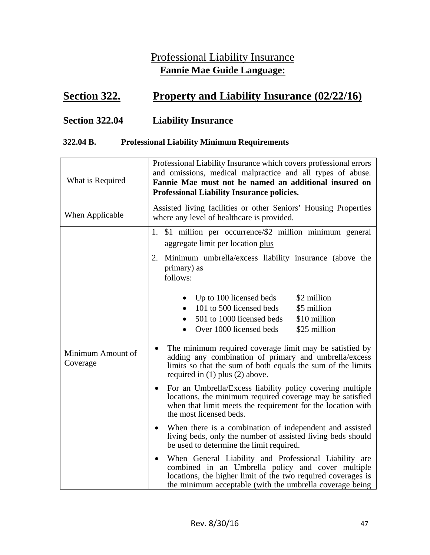### Professional Liability Insurance **Fannie Mae Guide Language:**

### **<u>Section 322.</u> Property and Liability Insurance (02/22/16)</u>**

### **Section 322.04 Liability Insurance**

#### **322.04 B. Professional Liability Minimum Requirements**

| What is Required              | Professional Liability Insurance which covers professional errors<br>and omissions, medical malpractice and all types of abuse.<br>Fannie Mae must not be named an additional insured on<br><b>Professional Liability Insurance policies.</b>                                                                                                                                                            |
|-------------------------------|----------------------------------------------------------------------------------------------------------------------------------------------------------------------------------------------------------------------------------------------------------------------------------------------------------------------------------------------------------------------------------------------------------|
| When Applicable               | Assisted living facilities or other Seniors' Housing Properties<br>where any level of healthcare is provided.                                                                                                                                                                                                                                                                                            |
| Minimum Amount of<br>Coverage | \$1 million per occurrence/\$2 million minimum general<br>1.<br>aggregate limit per location plus<br>2. Minimum umbrella/excess liability insurance (above the<br>primary) as<br>follows:                                                                                                                                                                                                                |
|                               | \$2 million<br>Up to 100 licensed beds<br>101 to 500 licensed beds<br>\$5 million<br>501 to 1000 licensed beds<br>\$10 million<br>Over 1000 licensed beds<br>\$25 million<br>The minimum required coverage limit may be satisfied by<br>٠<br>adding any combination of primary and umbrella/excess<br>limits so that the sum of both equals the sum of the limits<br>required in $(1)$ plus $(2)$ above. |
|                               | For an Umbrella/Excess liability policy covering multiple<br>$\bullet$<br>locations, the minimum required coverage may be satisfied<br>when that limit meets the requirement for the location with<br>the most licensed beds.                                                                                                                                                                            |
|                               | When there is a combination of independent and assisted<br>living beds, only the number of assisted living beds should<br>be used to determine the limit required.                                                                                                                                                                                                                                       |
|                               | When General Liability and Professional Liability are<br>$\bullet$<br>combined in an Umbrella policy and cover multiple<br>locations, the higher limit of the two required coverages is<br>the minimum acceptable (with the umbrella coverage being                                                                                                                                                      |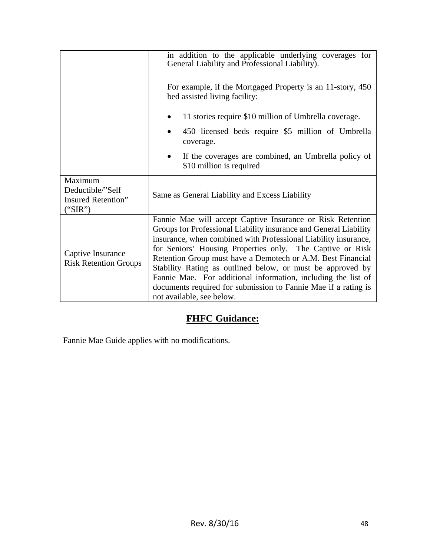|                                                              | in addition to the applicable underlying coverages for<br>General Liability and Professional Liability).                                                                                                                                                                                                                                                                                                                                                                                                                                                     |
|--------------------------------------------------------------|--------------------------------------------------------------------------------------------------------------------------------------------------------------------------------------------------------------------------------------------------------------------------------------------------------------------------------------------------------------------------------------------------------------------------------------------------------------------------------------------------------------------------------------------------------------|
|                                                              | For example, if the Mortgaged Property is an 11-story, 450<br>bed assisted living facility:                                                                                                                                                                                                                                                                                                                                                                                                                                                                  |
|                                                              | 11 stories require \$10 million of Umbrella coverage.                                                                                                                                                                                                                                                                                                                                                                                                                                                                                                        |
|                                                              | 450 licensed beds require \$5 million of Umbrella<br>coverage.                                                                                                                                                                                                                                                                                                                                                                                                                                                                                               |
|                                                              | If the coverages are combined, an Umbrella policy of<br>$\bullet$<br>\$10 million is required                                                                                                                                                                                                                                                                                                                                                                                                                                                                |
| Maximum<br>Deductible/"Self<br>Insured Retention"<br>("SIR") | Same as General Liability and Excess Liability                                                                                                                                                                                                                                                                                                                                                                                                                                                                                                               |
| Captive Insurance<br><b>Risk Retention Groups</b>            | Fannie Mae will accept Captive Insurance or Risk Retention<br>Groups for Professional Liability insurance and General Liability<br>insurance, when combined with Professional Liability insurance,<br>for Seniors' Housing Properties only. The Captive or Risk<br>Retention Group must have a Demotech or A.M. Best Financial<br>Stability Rating as outlined below, or must be approved by<br>Fannie Mae. For additional information, including the list of<br>documents required for submission to Fannie Mae if a rating is<br>not available, see below. |

### **FHFC Guidance:**

Fannie Mae Guide applies with no modifications.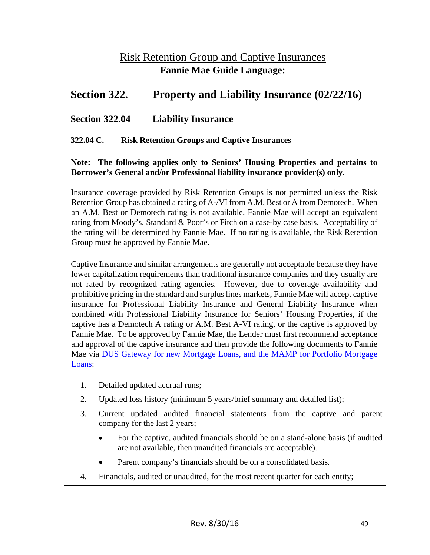### Risk Retention Group and Captive Insurances **Fannie Mae Guide Language:**

### **Section 322. Property and Liability Insurance (02/22/16)**

#### **Section 322.04 Liability Insurance**

#### **322.04 C. Risk Retention Groups and Captive Insurances**

**Note: The following applies only to Seniors' Housing Properties and pertains to Borrower's General and/or Professional liability insurance provider(s) only.**

Insurance coverage provided by Risk Retention Groups is not permitted unless the Risk Retention Group has obtained a rating of A-/VI from A.M. Best or A from Demotech. When an A.M. Best or Demotech rating is not available, Fannie Mae will accept an equivalent rating from Moody's, Standard & Poor's or Fitch on a case-by case basis. Acceptability of the rating will be determined by Fannie Mae. If no rating is available, the Risk Retention Group must be approved by Fannie Mae.

Captive Insurance and similar arrangements are generally not acceptable because they have lower capitalization requirements than traditional insurance companies and they usually are not rated by recognized rating agencies. However, due to coverage availability and prohibitive pricing in the standard and surplus lines markets, Fannie Mae will accept captive insurance for Professional Liability Insurance and General Liability Insurance when combined with Professional Liability Insurance for Seniors' Housing Properties, if the captive has a Demotech A rating or A.M. Best A-VI rating, or the captive is approved by Fannie Mae. To be approved by Fannie Mae, the Lender must first recommend acceptance and approval of the captive insurance and then provide the following documents to Fannie Mae via DUS Gateway for new Mortgage Loans, and the MAMP for Portfolio Mortgage Loans:

- 1. Detailed updated accrual runs;
- 2. Updated loss history (minimum 5 years/brief summary and detailed list);
- 3. Current updated audited financial statements from the captive and parent company for the last 2 years;
	- For the captive, audited financials should be on a stand-alone basis (if audited are not available, then unaudited financials are acceptable).
	- Parent company's financials should be on a consolidated basis.
- 4. Financials, audited or unaudited, for the most recent quarter for each entity;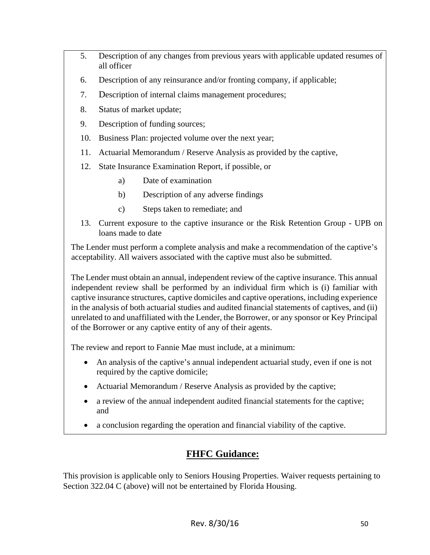- 5. Description of any changes from previous years with applicable updated resumes of all officer
- 6. Description of any reinsurance and/or fronting company, if applicable;
- 7. Description of internal claims management procedures;
- 8. Status of market update;
- 9. Description of funding sources;
- 10. Business Plan: projected volume over the next year;
- 11. Actuarial Memorandum / Reserve Analysis as provided by the captive,
- 12. State Insurance Examination Report, if possible, or
	- a) Date of examination
	- b) Description of any adverse findings
	- c) Steps taken to remediate; and
- 13. Current exposure to the captive insurance or the Risk Retention Group UPB on loans made to date

The Lender must perform a complete analysis and make a recommendation of the captive's acceptability. All waivers associated with the captive must also be submitted.

The Lender must obtain an annual, independent review of the captive insurance. This annual independent review shall be performed by an individual firm which is (i) familiar with captive insurance structures, captive domiciles and captive operations, including experience in the analysis of both actuarial studies and audited financial statements of captives, and (ii) unrelated to and unaffiliated with the Lender, the Borrower, or any sponsor or Key Principal of the Borrower or any captive entity of any of their agents.

The review and report to Fannie Mae must include, at a minimum:

- An analysis of the captive's annual independent actuarial study, even if one is not required by the captive domicile;
- Actuarial Memorandum / Reserve Analysis as provided by the captive;
- a review of the annual independent audited financial statements for the captive; and
- a conclusion regarding the operation and financial viability of the captive.

### **FHFC Guidance:**

This provision is applicable only to Seniors Housing Properties. Waiver requests pertaining to Section 322.04 C (above) will not be entertained by Florida Housing.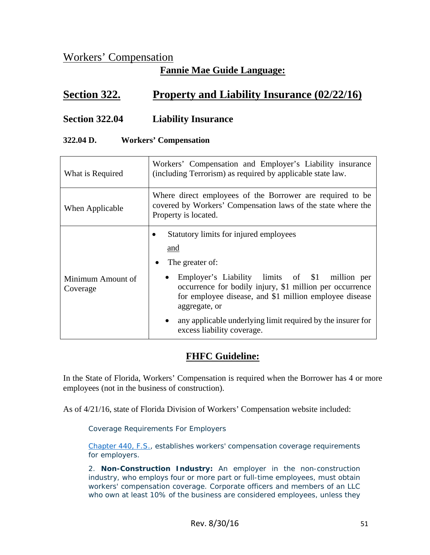### Workers' Compensation

### **Fannie Mae Guide Language:**

### **Section 322. Property and Liability Insurance (02/22/16)**

#### **Section 322.04 Liability Insurance**

#### **322.04 D. Workers' Compensation**

| What is Required              | Workers' Compensation and Employer's Liability insurance<br>(including Terrorism) as required by applicable state law.                                                                                                                                                                                                                                              |  |  |
|-------------------------------|---------------------------------------------------------------------------------------------------------------------------------------------------------------------------------------------------------------------------------------------------------------------------------------------------------------------------------------------------------------------|--|--|
| When Applicable               | Where direct employees of the Borrower are required to be<br>covered by Workers' Compensation laws of the state where the<br>Property is located.                                                                                                                                                                                                                   |  |  |
| Minimum Amount of<br>Coverage | Statutory limits for injured employees<br>and<br>The greater of:<br>Employer's Liability limits of \$1 million per<br>$\bullet$<br>occurrence for bodily injury, \$1 million per occurrence<br>for employee disease, and \$1 million employee disease<br>aggregate, or<br>any applicable underlying limit required by the insurer for<br>excess liability coverage. |  |  |

#### **FHFC Guideline:**

In the State of Florida, Workers' Compensation is required when the Borrower has 4 or more employees (not in the business of construction).

As of 4/21/16, state of Florida Division of Workers' Compensation website included:

Coverage Requirements For Employers

Chapter 440, F.S., establishes workers' compensation coverage requirements for employers.

2. **Non-Construction Industry:** An employer in the non-construction industry, who employs four or more part or full-time employees, must obtain workers' compensation coverage. Corporate officers and members of an LLC who own at least 10% of the business are considered employees, unless they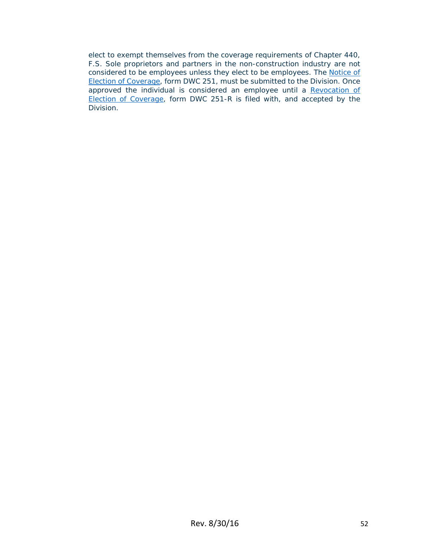elect to exempt themselves from the coverage requirements of Chapter 440, F.S. Sole proprietors and partners in the non-construction industry are not considered to be employees unless they elect to be employees. The Notice of Election of Coverage, form DWC 251, must be submitted to the Division. Once approved the individual is considered an employee until a Revocation of Election of Coverage, form DWC 251-R is filed with, and accepted by the Division.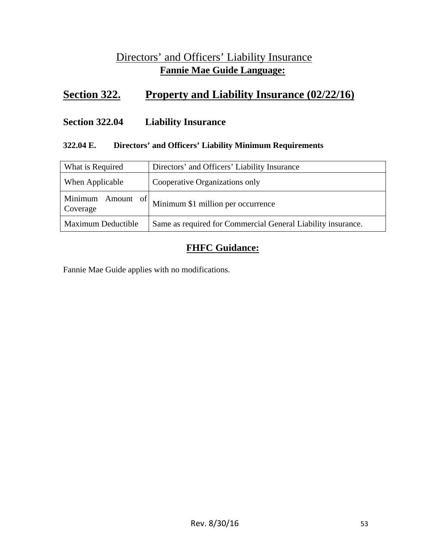### Directors' and Officers' Liability Insurance **Fannie Mae Guide Language:**

### **Section 322. Property and Liability Insurance (02/22/16)**

#### **Section 322.04 Liability Insurance**

#### **322.04 E. Directors' and Officers' Liability Minimum Requirements**

| What is Required              | Directors' and Officers' Liability Insurance                 |  |
|-------------------------------|--------------------------------------------------------------|--|
| When Applicable               | Cooperative Organizations only                               |  |
| Minimum Amount of<br>Coverage | Minimum \$1 million per occurrence                           |  |
| Maximum Deductible            | Same as required for Commercial General Liability insurance. |  |

### **FHFC Guidance:**

Fannie Mae Guide applies with no modifications.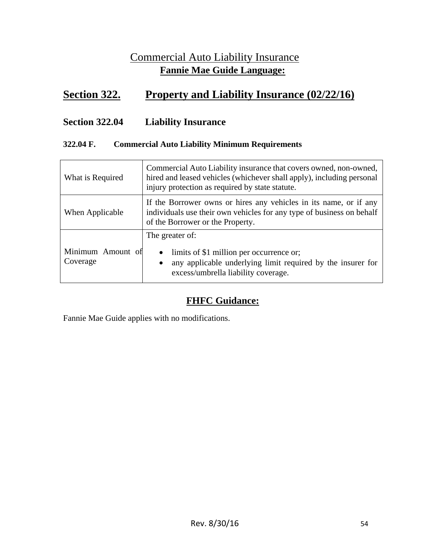### Commercial Auto Liability Insurance **Fannie Mae Guide Language:**

### **Section 322. Property and Liability Insurance (02/22/16)**

### **Section 322.04 Liability Insurance**

#### **322.04 F. Commercial Auto Liability Minimum Requirements**

| What is Required              | Commercial Auto Liability insurance that covers owned, non-owned,<br>hired and leased vehicles (whichever shall apply), including personal<br>injury protection as required by state statute. |  |
|-------------------------------|-----------------------------------------------------------------------------------------------------------------------------------------------------------------------------------------------|--|
| When Applicable               | If the Borrower owns or hires any vehicles in its name, or if any<br>individuals use their own vehicles for any type of business on behalf<br>of the Borrower or the Property.                |  |
| Minimum Amount of<br>Coverage | The greater of:<br>limits of \$1 million per occurrence or;<br>$\bullet$<br>any applicable underlying limit required by the insurer for<br>$\bullet$<br>excess/umbrella liability coverage.   |  |

### **FHFC Guidance:**

Fannie Mae Guide applies with no modifications.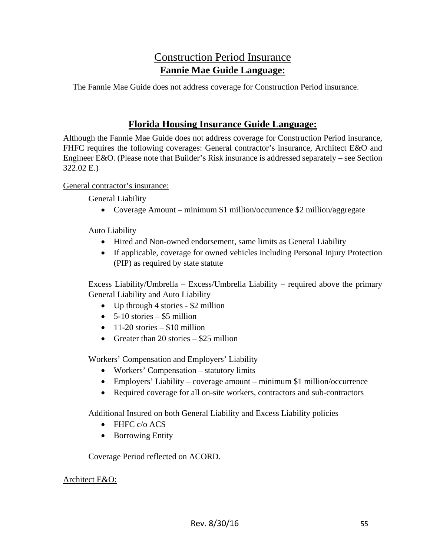### Construction Period Insurance **Fannie Mae Guide Language:**

The Fannie Mae Guide does not address coverage for Construction Period insurance.

### **Florida Housing Insurance Guide Language:**

Although the Fannie Mae Guide does not address coverage for Construction Period insurance, FHFC requires the following coverages: General contractor's insurance, Architect E&O and Engineer E&O. (Please note that Builder's Risk insurance is addressed separately – see Section 322.02 E.)

General contractor's insurance:

General Liability

• Coverage Amount – minimum \$1 million/occurrence \$2 million/aggregate

Auto Liability

- Hired and Non-owned endorsement, same limits as General Liability
- If applicable, coverage for owned vehicles including Personal Injury Protection (PIP) as required by state statute

Excess Liability/Umbrella – Excess/Umbrella Liability – required above the primary General Liability and Auto Liability

- Up through 4 stories \$2 million
- $\bullet$  5-10 stories \$5 million
- $\bullet$  11-20 stories \$10 million
- Greater than 20 stories  $-$  \$25 million

Workers' Compensation and Employers' Liability

- Workers' Compensation statutory limits
- Employers' Liability coverage amount minimum \$1 million/occurrence
- Required coverage for all on-site workers, contractors and sub-contractors

Additional Insured on both General Liability and Excess Liability policies

- FHFC c/o ACS
- Borrowing Entity

Coverage Period reflected on ACORD.

#### Architect E&O: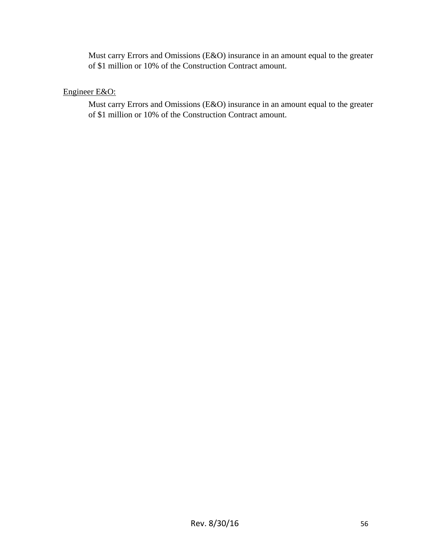Must carry Errors and Omissions (E&O) insurance in an amount equal to the greater of \$1 million or 10% of the Construction Contract amount.

#### Engineer E&O:

Must carry Errors and Omissions (E&O) insurance in an amount equal to the greater of \$1 million or 10% of the Construction Contract amount.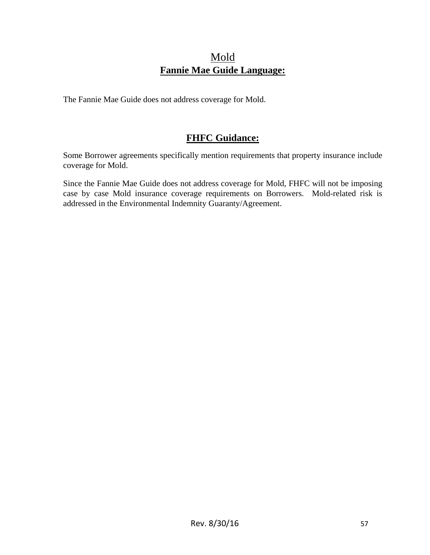### Mold **Fannie Mae Guide Language:**

The Fannie Mae Guide does not address coverage for Mold.

### **FHFC Guidance:**

Some Borrower agreements specifically mention requirements that property insurance include coverage for Mold.

Since the Fannie Mae Guide does not address coverage for Mold, FHFC will not be imposing case by case Mold insurance coverage requirements on Borrowers. Mold-related risk is addressed in the Environmental Indemnity Guaranty/Agreement.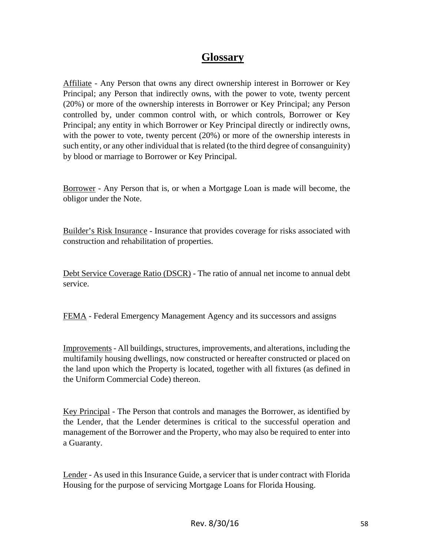### **Glossary**

Affiliate - Any Person that owns any direct ownership interest in Borrower or Key Principal; any Person that indirectly owns, with the power to vote, twenty percent (20%) or more of the ownership interests in Borrower or Key Principal; any Person controlled by, under common control with, or which controls, Borrower or Key Principal; any entity in which Borrower or Key Principal directly or indirectly owns, with the power to vote, twenty percent (20%) or more of the ownership interests in such entity, or any other individual that is related (to the third degree of consanguinity) by blood or marriage to Borrower or Key Principal.

Borrower - Any Person that is, or when a Mortgage Loan is made will become, the obligor under the Note.

Builder's Risk Insurance - Insurance that provides coverage for risks associated with construction and rehabilitation of properties.

Debt Service Coverage Ratio (DSCR) - The ratio of annual net income to annual debt service.

FEMA - Federal Emergency Management Agency and its successors and assigns

Improvements - All buildings, structures, improvements, and alterations, including the multifamily housing dwellings, now constructed or hereafter constructed or placed on the land upon which the Property is located, together with all fixtures (as defined in the Uniform Commercial Code) thereon.

Key Principal - The Person that controls and manages the Borrower, as identified by the Lender, that the Lender determines is critical to the successful operation and management of the Borrower and the Property, who may also be required to enter into a Guaranty.

Lender - As used in this Insurance Guide, a servicer that is under contract with Florida Housing for the purpose of servicing Mortgage Loans for Florida Housing.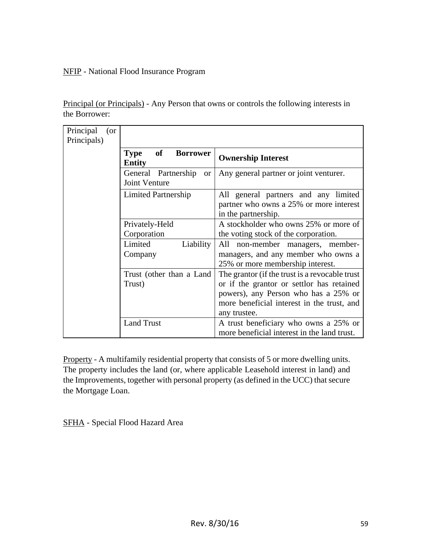#### NFIP - National Flood Insurance Program

Principal (or Principals) - Any Person that owns or controls the following interests in the Borrower:

| Principal<br>(or<br>Principals) |                                                              |                                                                                                                                                                                                   |
|---------------------------------|--------------------------------------------------------------|---------------------------------------------------------------------------------------------------------------------------------------------------------------------------------------------------|
|                                 | of<br><b>Borrower</b><br><b>Type</b><br><b>Entity</b>        | <b>Ownership Interest</b>                                                                                                                                                                         |
|                                 | General Partnership<br><sub>or</sub><br><b>Joint Venture</b> | Any general partner or joint venturer.                                                                                                                                                            |
|                                 | Limited Partnership                                          | All general partners and any limited<br>partner who owns a 25% or more interest<br>in the partnership.                                                                                            |
|                                 | Privately-Held<br>Corporation                                | A stockholder who owns 25% or more of<br>the voting stock of the corporation.                                                                                                                     |
|                                 | Limited<br>Liability<br>Company                              | non-member managers, member-<br>All<br>managers, and any member who owns a<br>25% or more membership interest.                                                                                    |
|                                 | Trust (other than a Land<br>Trust)                           | The grantor (if the trust is a revocable trust<br>or if the grantor or settlor has retained<br>powers), any Person who has a 25% or<br>more beneficial interest in the trust, and<br>any trustee. |
|                                 | <b>Land Trust</b>                                            | A trust beneficiary who owns a 25% or<br>more beneficial interest in the land trust.                                                                                                              |

Property - A multifamily residential property that consists of 5 or more dwelling units. The property includes the land (or, where applicable Leasehold interest in land) and the Improvements, together with personal property (as defined in the UCC) that secure the Mortgage Loan.

SFHA - Special Flood Hazard Area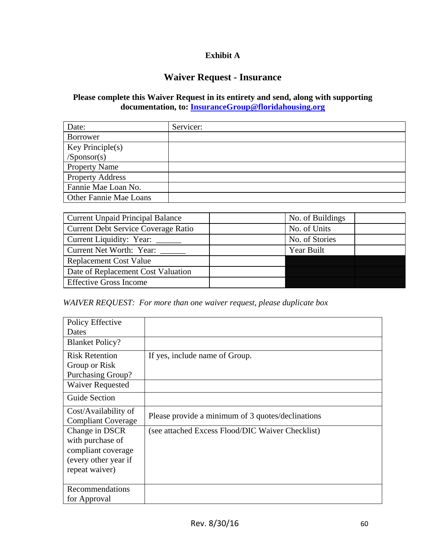#### **Exhibit A**

#### **Waiver Request - Insurance**

#### **Please complete this Waiver Request in its entirety and send, along with supporting documentation, to: InsuranceGroup@floridahousing.org**

| Date:                         | Servicer: |
|-------------------------------|-----------|
| <b>Borrower</b>               |           |
| Key Principle(s)              |           |
| /Sponsor(s)                   |           |
| <b>Property Name</b>          |           |
| <b>Property Address</b>       |           |
| Fannie Mae Loan No.           |           |
| <b>Other Fannie Mae Loans</b> |           |

| <b>Current Unpaid Principal Balance</b>    | No. of Buildings |
|--------------------------------------------|------------------|
| <b>Current Debt Service Coverage Ratio</b> | No. of Units     |
| Current Liquidity: Year: _____             | No. of Stories   |
| Current Net Worth: Year:                   | Year Built       |
| <b>Replacement Cost Value</b>              |                  |
| Date of Replacement Cost Valuation         |                  |
| <b>Effective Gross Income</b>              |                  |

#### *WAIVER REQUEST: For more than one waiver request, please duplicate box*

| Policy Effective          |                                                   |
|---------------------------|---------------------------------------------------|
| Dates                     |                                                   |
| <b>Blanket Policy?</b>    |                                                   |
| <b>Risk Retention</b>     | If yes, include name of Group.                    |
| Group or Risk             |                                                   |
| Purchasing Group?         |                                                   |
| <b>Waiver Requested</b>   |                                                   |
| <b>Guide Section</b>      |                                                   |
| Cost/Availability of      |                                                   |
| <b>Compliant Coverage</b> | Please provide a minimum of 3 quotes/declinations |
| Change in DSCR            | (see attached Excess Flood/DIC Waiver Checklist)  |
| with purchase of          |                                                   |
| compliant coverage        |                                                   |
| (every other year if      |                                                   |
| repeat waiver)            |                                                   |
|                           |                                                   |
| Recommendations           |                                                   |
| for Approval              |                                                   |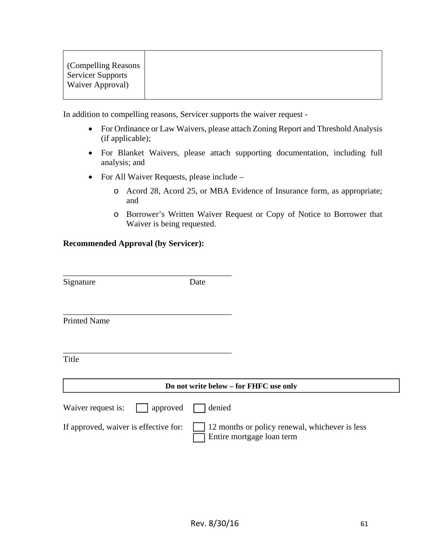| <b>Compelling Reasons</b> |  |
|---------------------------|--|
| <b>Servicer Supports</b>  |  |
| Waiver Approval)          |  |
|                           |  |

In addition to compelling reasons, Servicer supports the waiver request -

- For Ordinance or Law Waivers, please attach Zoning Report and Threshold Analysis (if applicable);
- For Blanket Waivers, please attach supporting documentation, including full analysis; and
- For All Waiver Requests, please include
	- o Acord 28, Acord 25, or MBA Evidence of Insurance form, as appropriate; and
	- o Borrower's Written Waiver Request or Copy of Notice to Borrower that Waiver is being requested.

#### **Recommended Approval (by Servicer):**

| Signature                             | Date                                                                        |
|---------------------------------------|-----------------------------------------------------------------------------|
|                                       |                                                                             |
| <b>Printed Name</b>                   |                                                                             |
| Title                                 |                                                                             |
|                                       |                                                                             |
|                                       | Do not write below – for FHFC use only                                      |
| Waiver request is:<br>approved        | denied                                                                      |
| If approved, waiver is effective for: | 12 months or policy renewal, whichever is less<br>Entire mortgage loan term |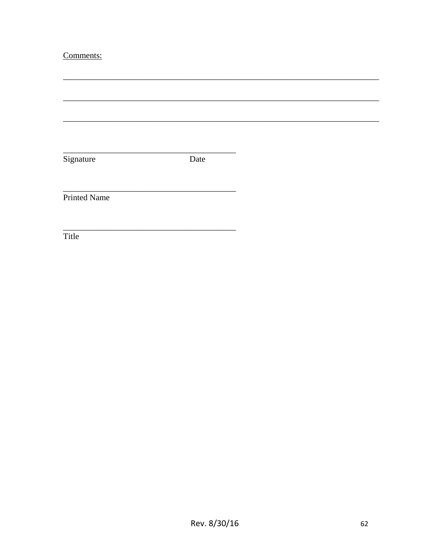### Comments:

| Signature           | Date |
|---------------------|------|
|                     |      |
|                     |      |
|                     |      |
| <b>Printed Name</b> |      |
|                     |      |
|                     |      |
|                     |      |
| Title               |      |